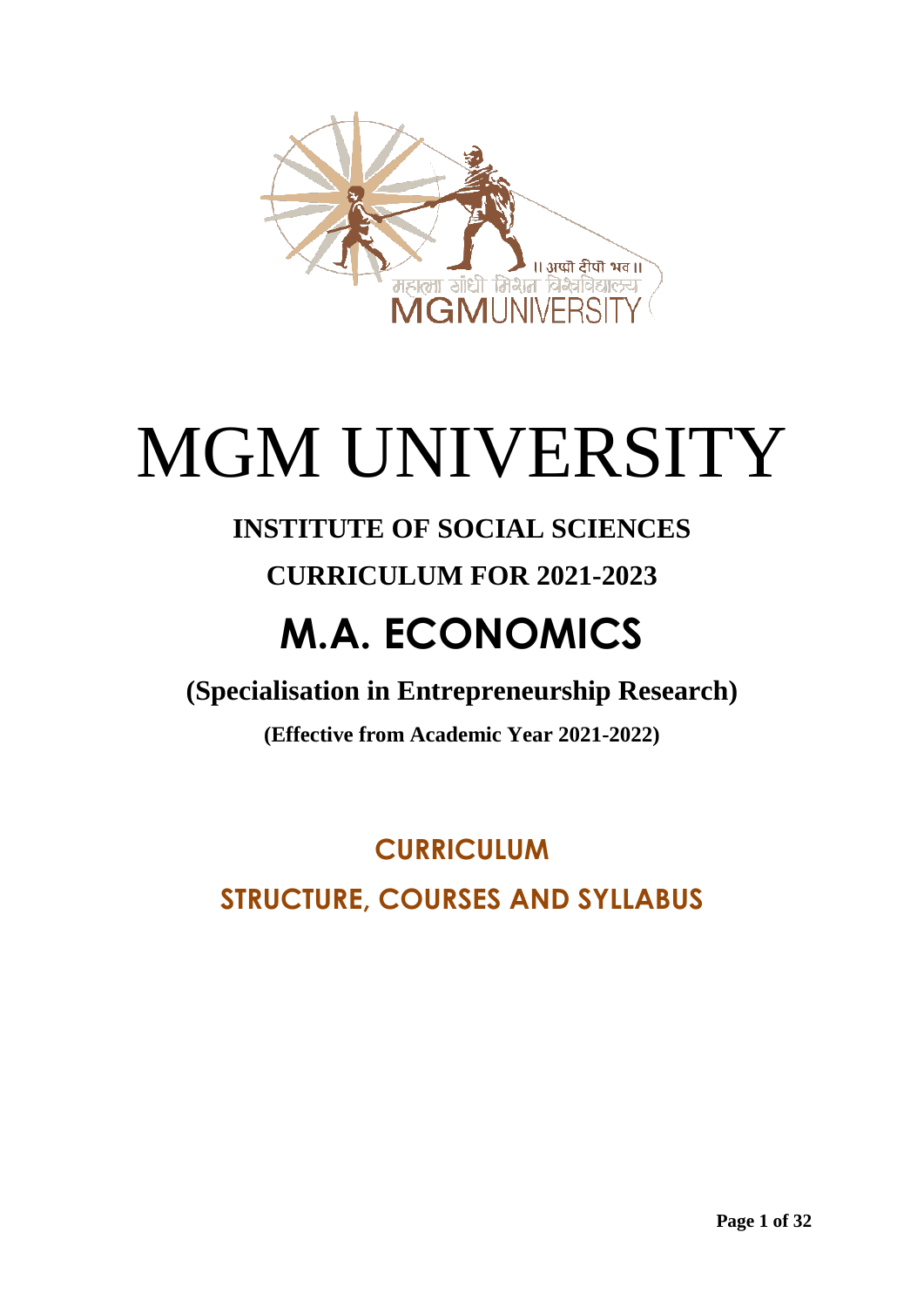

# MGM UNIVERSITY

### **INSTITUTE OF SOCIAL SCIENCES**

### **CURRICULUM FOR 2021-2023**

## **M.A. ECONOMICS**

**(Specialisation in Entrepreneurship Research)**

**(Effective from Academic Year 2021-2022)**

**CURRICULUM STRUCTURE, COURSES AND SYLLABUS**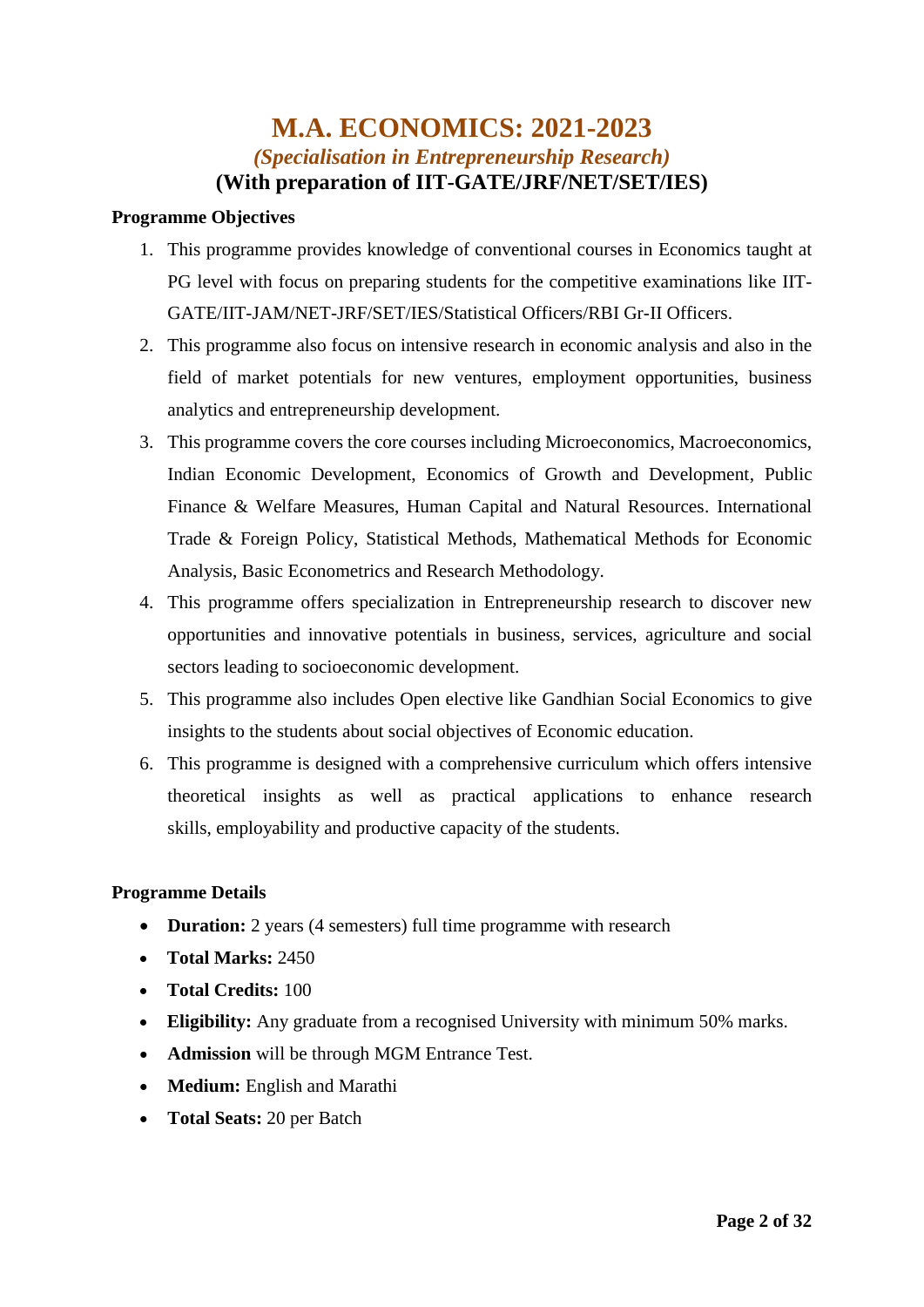### **M.A. ECONOMICS: 2021-2023** *(Specialisation in Entrepreneurship Research)* **(With preparation of IIT-GATE/JRF/NET/SET/IES)**

### **Programme Objectives**

- 1. This programme provides knowledge of conventional courses in Economics taught at PG level with focus on preparing students for the competitive examinations like IIT-GATE/IIT-JAM/NET-JRF/SET/IES/Statistical Officers/RBI Gr-II Officers.
- 2. This programme also focus on intensive research in economic analysis and also in the field of market potentials for new ventures, employment opportunities, business analytics and entrepreneurship development.
- 3. This programme covers the core courses including Microeconomics, Macroeconomics, Indian Economic Development, Economics of Growth and Development, Public Finance & Welfare Measures, Human Capital and Natural Resources. International Trade & Foreign Policy, Statistical Methods, Mathematical Methods for Economic Analysis, Basic Econometrics and Research Methodology.
- 4. This programme offers specialization in Entrepreneurship research to discover new opportunities and innovative potentials in business, services, agriculture and social sectors leading to socioeconomic development.
- 5. This programme also includes Open elective like Gandhian Social Economics to give insights to the students about social objectives of Economic education.
- 6. This programme is designed with a comprehensive curriculum which offers intensive theoretical insights as well as practical applications to enhance research skills, employability and productive capacity of the students.

### **Programme Details**

- **Duration:** 2 years (4 semesters) full time programme with research
- **Total Marks:** 2450
- **Total Credits:** 100
- **Eligibility:** Any graduate from a recognised University with minimum 50% marks.
- **Admission** will be through MGM Entrance Test.
- **Medium:** English and Marathi
- **Total Seats:** 20 per Batch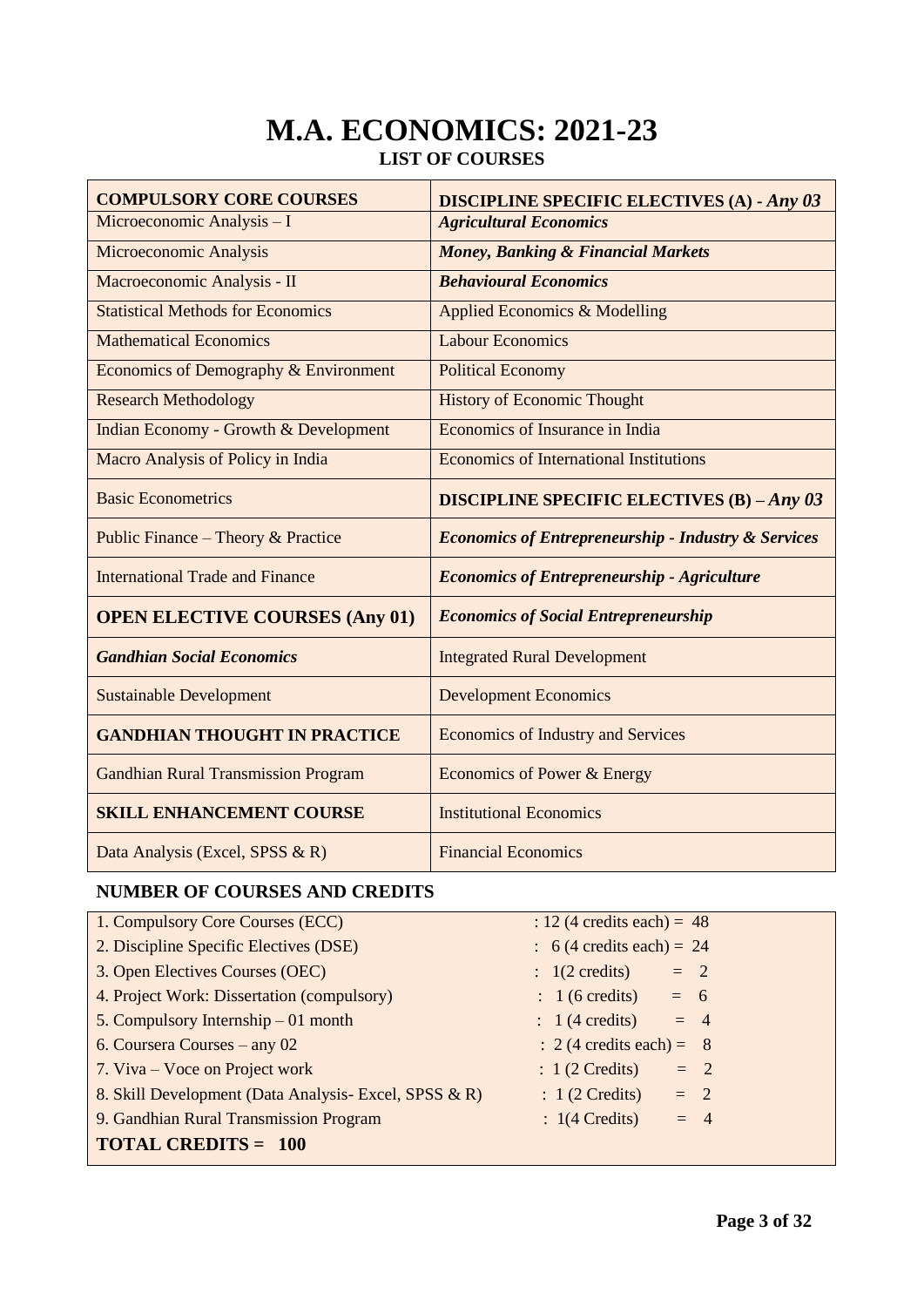### **M.A. ECONOMICS: 2021-23 LIST OF COURSES**

| <b>COMPULSORY CORE COURSES</b>                   | <b>DISCIPLINE SPECIFIC ELECTIVES (A) - Any 03</b>              |  |  |  |
|--------------------------------------------------|----------------------------------------------------------------|--|--|--|
| Microeconomic Analysis - I                       | <b>Agricultural Economics</b>                                  |  |  |  |
| Microeconomic Analysis                           | <b>Money, Banking &amp; Financial Markets</b>                  |  |  |  |
| Macroeconomic Analysis - II                      | <b>Behavioural Economics</b>                                   |  |  |  |
| <b>Statistical Methods for Economics</b>         | Applied Economics & Modelling                                  |  |  |  |
| <b>Mathematical Economics</b>                    | <b>Labour Economics</b>                                        |  |  |  |
| Economics of Demography & Environment            | <b>Political Economy</b>                                       |  |  |  |
| <b>Research Methodology</b>                      | <b>History of Economic Thought</b>                             |  |  |  |
| <b>Indian Economy - Growth &amp; Development</b> | Economics of Insurance in India                                |  |  |  |
| Macro Analysis of Policy in India                | <b>Economics of International Institutions</b>                 |  |  |  |
| <b>Basic Econometrics</b>                        | <b>DISCIPLINE SPECIFIC ELECTIVES (B) - Any 03</b>              |  |  |  |
| Public Finance – Theory & Practice               | <b>Economics of Entrepreneurship - Industry &amp; Services</b> |  |  |  |
| <b>International Trade and Finance</b>           | <b>Economics of Entrepreneurship - Agriculture</b>             |  |  |  |
| <b>OPEN ELECTIVE COURSES (Any 01)</b>            | <b>Economics of Social Entrepreneurship</b>                    |  |  |  |
| <b>Gandhian Social Economics</b>                 | <b>Integrated Rural Development</b>                            |  |  |  |
| <b>Sustainable Development</b>                   | <b>Development Economics</b>                                   |  |  |  |
| <b>GANDHIAN THOUGHT IN PRACTICE</b>              | <b>Economics of Industry and Services</b>                      |  |  |  |
| <b>Gandhian Rural Transmission Program</b>       | Economics of Power & Energy                                    |  |  |  |
| <b>SKILL ENHANCEMENT COURSE</b>                  | <b>Institutional Economics</b>                                 |  |  |  |
| Data Analysis (Excel, SPSS & R)                  | <b>Financial Economics</b>                                     |  |  |  |

### **NUMBER OF COURSES AND CREDITS**

| 1. Compulsory Core Courses (ECC)                      | : 12 (4 credits each) = $48$         |
|-------------------------------------------------------|--------------------------------------|
| 2. Discipline Specific Electives (DSE)                | $\therefore$ 6 (4 credits each) = 24 |
| 3. Open Electives Courses (OEC)                       | $= 2$<br>$\therefore$ 1(2 credits)   |
| 4. Project Work: Dissertation (compulsory)            | $\therefore$ 1 (6 credits) = 6       |
| 5. Compulsory Internship $-01$ month                  | $\therefore$ 1 (4 credits)<br>$= 4$  |
| 6. Coursera Courses – any 02                          | $\therefore$ 2 (4 credits each) = 8  |
| 7. Viva – Voce on Project work                        | $: 1(2 \text{ Credits})$<br>$= 2$    |
| 8. Skill Development (Data Analysis- Excel, SPSS & R) | $: 1(2 \text{ Credits}) = 2$         |
| 9. Gandhian Rural Transmission Program                | $: 1(4 \text{ Credits})$<br>$= 4$    |
| <b>TOTAL CREDITS = 100</b>                            |                                      |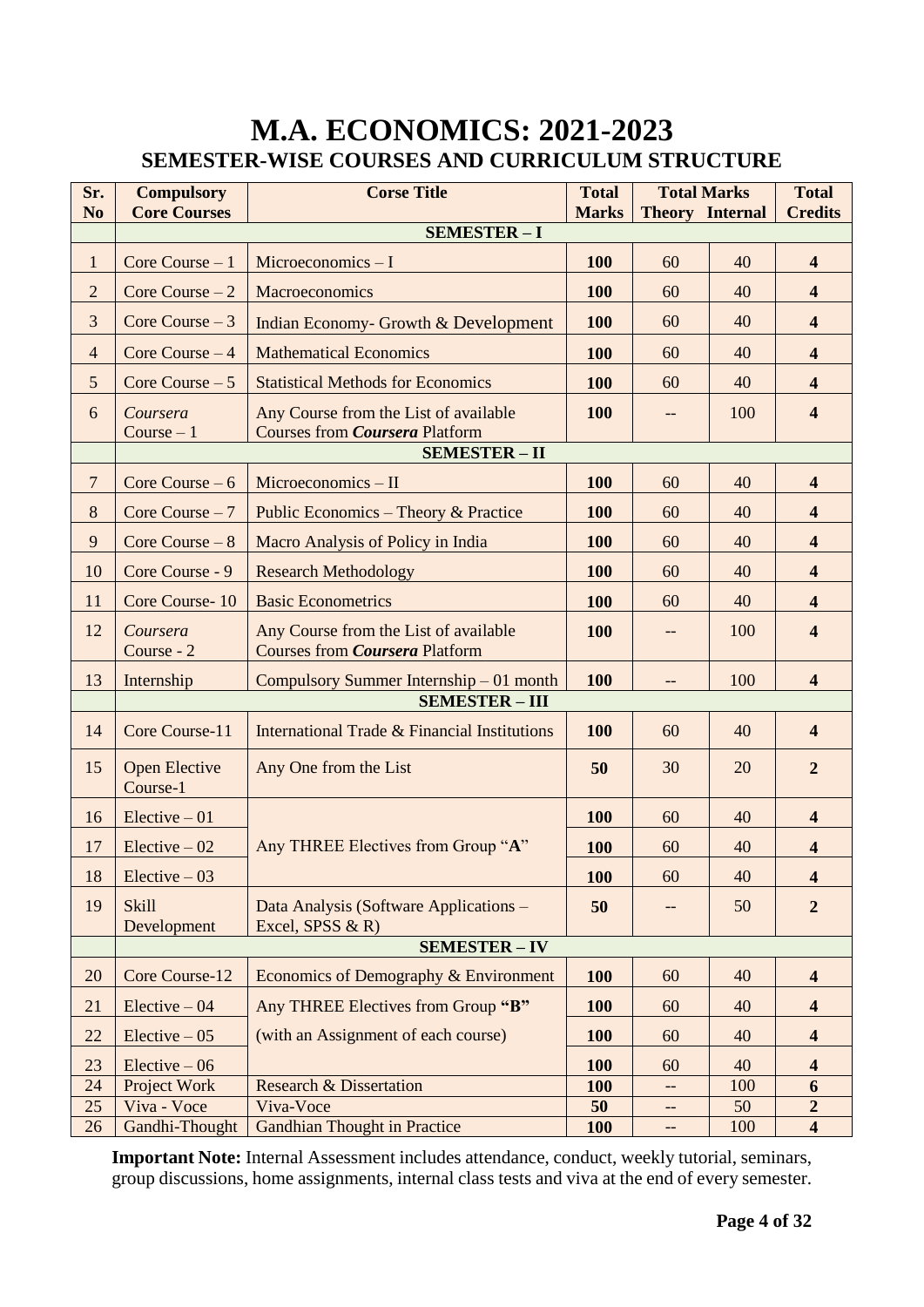### **M.A. ECONOMICS: 2021-2023 SEMESTER-WISE COURSES AND CURRICULUM STRUCTURE**

| <b>SEMESTER-I</b><br>$\mathbf{1}$<br>Microeconomics $-1$<br>100<br>60<br>40<br>$\overline{\mathbf{4}}$<br>Core Course $-1$<br>$\overline{2}$<br>Core Course $-2$<br>Macroeconomics<br>100<br>60<br>40<br>$\overline{\mathbf{4}}$<br>3<br>100<br>$\overline{\mathbf{4}}$<br>Core Course $-3$<br>40<br>60<br>Indian Economy- Growth & Development<br>100<br>$\overline{\mathbf{4}}$<br>$\overline{4}$<br>Core Course $-4$<br><b>Mathematical Economics</b><br>60<br>40<br>5<br>100<br>Core Course $-5$<br><b>Statistical Methods for Economics</b><br>60<br>40<br>$\overline{\mathbf{4}}$<br>6<br><b>100</b><br>$\overline{\mathbf{4}}$<br>Any Course from the List of available<br>100<br>Coursera<br>--<br>$Course - 1$<br><b>Courses from Coursera Platform</b><br><b>SEMESTER - II</b><br>$\overline{7}$<br>Core Course $-6$<br>Microeconomics - II<br>100<br>60<br>40<br>$\overline{\mathbf{4}}$<br>$8\,$<br><b>100</b><br>$\overline{\mathbf{4}}$<br>Core Course $-7$<br>Public Economics - Theory & Practice<br>60<br>40<br>$\overline{9}$<br>Core Course $-8$<br>40<br>Macro Analysis of Policy in India<br>100<br>60<br>$\overline{\mathbf{4}}$<br>10<br>Core Course - 9<br>$\overline{\mathbf{4}}$<br><b>Research Methodology</b><br>100<br>60<br>40<br>11<br><b>Basic Econometrics</b><br>Core Course-10<br>100<br>60<br>40<br>$\overline{\mathbf{4}}$<br>12<br>Any Course from the List of available<br>100<br>100<br>$\overline{\mathbf{4}}$<br>Coursera<br>--<br><b>Courses from Coursera Platform</b><br>Course - 2<br><b>100</b><br>100<br>$\overline{\mathbf{4}}$<br>13<br>Compulsory Summer Internship – 01 month<br>Internship<br>--<br><b>SEMESTER - III</b><br>Core Course-11<br>International Trade & Financial Institutions<br>14<br>100<br>60<br>40<br>$\overline{\mathbf{4}}$<br>15<br><b>Open Elective</b><br>Any One from the List<br>50<br>30<br>20<br>$\overline{2}$<br>Course-1<br>16<br>$Electric -01$<br><b>100</b><br>60<br>40<br>$\overline{\mathbf{4}}$<br>Any THREE Electives from Group "A"<br>17<br>Elective $-02$<br><b>100</b><br>60<br>40<br>$\overline{\mathbf{4}}$<br>Elective $-03$<br>60<br>40<br>18<br><b>100</b><br>4<br>19<br><b>Skill</b><br>$\overline{2}$<br>50<br>Data Analysis (Software Applications –<br>50<br>--<br>Development<br>Excel, SPSS $\&$ R)<br><b>SEMESTER - IV</b><br>20<br>Core Course-12<br>Economics of Demography & Environment<br><b>100</b><br>60<br>40<br>$\overline{\mathbf{4}}$<br>21<br>Any THREE Electives from Group "B"<br><b>100</b><br>$Electric -04$<br>60<br>40<br>$\overline{\mathbf{4}}$<br>(with an Assignment of each course)<br>22<br>$Electric -05$<br>100<br>60<br>40<br>$\overline{\mathbf{4}}$<br>23<br>$Electric -06$<br>100<br>$\overline{\mathbf{4}}$<br>60<br>40<br>24<br>Project Work<br><b>Research &amp; Dissertation</b><br><b>100</b><br>100<br>6<br>--<br>25<br>Viva - Voce<br>Viva-Voce<br>$\overline{2}$<br>50<br>50<br>-- | Sr.<br>N <sub>o</sub> | <b>Compulsory</b><br><b>Core Courses</b> | <b>Corse Title</b>                  | <b>Total</b><br><b>Marks</b> | <b>Total Marks</b><br><b>Theory Internal</b> |     | <b>Total</b><br><b>Credits</b> |  |
|------------------------------------------------------------------------------------------------------------------------------------------------------------------------------------------------------------------------------------------------------------------------------------------------------------------------------------------------------------------------------------------------------------------------------------------------------------------------------------------------------------------------------------------------------------------------------------------------------------------------------------------------------------------------------------------------------------------------------------------------------------------------------------------------------------------------------------------------------------------------------------------------------------------------------------------------------------------------------------------------------------------------------------------------------------------------------------------------------------------------------------------------------------------------------------------------------------------------------------------------------------------------------------------------------------------------------------------------------------------------------------------------------------------------------------------------------------------------------------------------------------------------------------------------------------------------------------------------------------------------------------------------------------------------------------------------------------------------------------------------------------------------------------------------------------------------------------------------------------------------------------------------------------------------------------------------------------------------------------------------------------------------------------------------------------------------------------------------------------------------------------------------------------------------------------------------------------------------------------------------------------------------------------------------------------------------------------------------------------------------------------------------------------------------------------------------------------------------------------------------------------------------------------------------------------------------------------------------------------------------------------------------------------------------------------------------------------------------------------------------------------------------------------------------------------------------------------------------------------------------------------------------------------------------------------|-----------------------|------------------------------------------|-------------------------------------|------------------------------|----------------------------------------------|-----|--------------------------------|--|
|                                                                                                                                                                                                                                                                                                                                                                                                                                                                                                                                                                                                                                                                                                                                                                                                                                                                                                                                                                                                                                                                                                                                                                                                                                                                                                                                                                                                                                                                                                                                                                                                                                                                                                                                                                                                                                                                                                                                                                                                                                                                                                                                                                                                                                                                                                                                                                                                                                                                                                                                                                                                                                                                                                                                                                                                                                                                                                                                    |                       |                                          |                                     |                              |                                              |     |                                |  |
|                                                                                                                                                                                                                                                                                                                                                                                                                                                                                                                                                                                                                                                                                                                                                                                                                                                                                                                                                                                                                                                                                                                                                                                                                                                                                                                                                                                                                                                                                                                                                                                                                                                                                                                                                                                                                                                                                                                                                                                                                                                                                                                                                                                                                                                                                                                                                                                                                                                                                                                                                                                                                                                                                                                                                                                                                                                                                                                                    |                       |                                          |                                     |                              |                                              |     |                                |  |
|                                                                                                                                                                                                                                                                                                                                                                                                                                                                                                                                                                                                                                                                                                                                                                                                                                                                                                                                                                                                                                                                                                                                                                                                                                                                                                                                                                                                                                                                                                                                                                                                                                                                                                                                                                                                                                                                                                                                                                                                                                                                                                                                                                                                                                                                                                                                                                                                                                                                                                                                                                                                                                                                                                                                                                                                                                                                                                                                    |                       |                                          |                                     |                              |                                              |     |                                |  |
|                                                                                                                                                                                                                                                                                                                                                                                                                                                                                                                                                                                                                                                                                                                                                                                                                                                                                                                                                                                                                                                                                                                                                                                                                                                                                                                                                                                                                                                                                                                                                                                                                                                                                                                                                                                                                                                                                                                                                                                                                                                                                                                                                                                                                                                                                                                                                                                                                                                                                                                                                                                                                                                                                                                                                                                                                                                                                                                                    |                       |                                          |                                     |                              |                                              |     |                                |  |
|                                                                                                                                                                                                                                                                                                                                                                                                                                                                                                                                                                                                                                                                                                                                                                                                                                                                                                                                                                                                                                                                                                                                                                                                                                                                                                                                                                                                                                                                                                                                                                                                                                                                                                                                                                                                                                                                                                                                                                                                                                                                                                                                                                                                                                                                                                                                                                                                                                                                                                                                                                                                                                                                                                                                                                                                                                                                                                                                    |                       |                                          |                                     |                              |                                              |     |                                |  |
|                                                                                                                                                                                                                                                                                                                                                                                                                                                                                                                                                                                                                                                                                                                                                                                                                                                                                                                                                                                                                                                                                                                                                                                                                                                                                                                                                                                                                                                                                                                                                                                                                                                                                                                                                                                                                                                                                                                                                                                                                                                                                                                                                                                                                                                                                                                                                                                                                                                                                                                                                                                                                                                                                                                                                                                                                                                                                                                                    |                       |                                          |                                     |                              |                                              |     |                                |  |
|                                                                                                                                                                                                                                                                                                                                                                                                                                                                                                                                                                                                                                                                                                                                                                                                                                                                                                                                                                                                                                                                                                                                                                                                                                                                                                                                                                                                                                                                                                                                                                                                                                                                                                                                                                                                                                                                                                                                                                                                                                                                                                                                                                                                                                                                                                                                                                                                                                                                                                                                                                                                                                                                                                                                                                                                                                                                                                                                    |                       |                                          |                                     |                              |                                              |     |                                |  |
|                                                                                                                                                                                                                                                                                                                                                                                                                                                                                                                                                                                                                                                                                                                                                                                                                                                                                                                                                                                                                                                                                                                                                                                                                                                                                                                                                                                                                                                                                                                                                                                                                                                                                                                                                                                                                                                                                                                                                                                                                                                                                                                                                                                                                                                                                                                                                                                                                                                                                                                                                                                                                                                                                                                                                                                                                                                                                                                                    |                       |                                          |                                     |                              |                                              |     |                                |  |
|                                                                                                                                                                                                                                                                                                                                                                                                                                                                                                                                                                                                                                                                                                                                                                                                                                                                                                                                                                                                                                                                                                                                                                                                                                                                                                                                                                                                                                                                                                                                                                                                                                                                                                                                                                                                                                                                                                                                                                                                                                                                                                                                                                                                                                                                                                                                                                                                                                                                                                                                                                                                                                                                                                                                                                                                                                                                                                                                    |                       |                                          |                                     |                              |                                              |     |                                |  |
|                                                                                                                                                                                                                                                                                                                                                                                                                                                                                                                                                                                                                                                                                                                                                                                                                                                                                                                                                                                                                                                                                                                                                                                                                                                                                                                                                                                                                                                                                                                                                                                                                                                                                                                                                                                                                                                                                                                                                                                                                                                                                                                                                                                                                                                                                                                                                                                                                                                                                                                                                                                                                                                                                                                                                                                                                                                                                                                                    |                       |                                          |                                     |                              |                                              |     |                                |  |
|                                                                                                                                                                                                                                                                                                                                                                                                                                                                                                                                                                                                                                                                                                                                                                                                                                                                                                                                                                                                                                                                                                                                                                                                                                                                                                                                                                                                                                                                                                                                                                                                                                                                                                                                                                                                                                                                                                                                                                                                                                                                                                                                                                                                                                                                                                                                                                                                                                                                                                                                                                                                                                                                                                                                                                                                                                                                                                                                    |                       |                                          |                                     |                              |                                              |     |                                |  |
|                                                                                                                                                                                                                                                                                                                                                                                                                                                                                                                                                                                                                                                                                                                                                                                                                                                                                                                                                                                                                                                                                                                                                                                                                                                                                                                                                                                                                                                                                                                                                                                                                                                                                                                                                                                                                                                                                                                                                                                                                                                                                                                                                                                                                                                                                                                                                                                                                                                                                                                                                                                                                                                                                                                                                                                                                                                                                                                                    |                       |                                          |                                     |                              |                                              |     |                                |  |
|                                                                                                                                                                                                                                                                                                                                                                                                                                                                                                                                                                                                                                                                                                                                                                                                                                                                                                                                                                                                                                                                                                                                                                                                                                                                                                                                                                                                                                                                                                                                                                                                                                                                                                                                                                                                                                                                                                                                                                                                                                                                                                                                                                                                                                                                                                                                                                                                                                                                                                                                                                                                                                                                                                                                                                                                                                                                                                                                    |                       |                                          |                                     |                              |                                              |     |                                |  |
|                                                                                                                                                                                                                                                                                                                                                                                                                                                                                                                                                                                                                                                                                                                                                                                                                                                                                                                                                                                                                                                                                                                                                                                                                                                                                                                                                                                                                                                                                                                                                                                                                                                                                                                                                                                                                                                                                                                                                                                                                                                                                                                                                                                                                                                                                                                                                                                                                                                                                                                                                                                                                                                                                                                                                                                                                                                                                                                                    |                       |                                          |                                     |                              |                                              |     |                                |  |
|                                                                                                                                                                                                                                                                                                                                                                                                                                                                                                                                                                                                                                                                                                                                                                                                                                                                                                                                                                                                                                                                                                                                                                                                                                                                                                                                                                                                                                                                                                                                                                                                                                                                                                                                                                                                                                                                                                                                                                                                                                                                                                                                                                                                                                                                                                                                                                                                                                                                                                                                                                                                                                                                                                                                                                                                                                                                                                                                    |                       |                                          |                                     |                              |                                              |     |                                |  |
|                                                                                                                                                                                                                                                                                                                                                                                                                                                                                                                                                                                                                                                                                                                                                                                                                                                                                                                                                                                                                                                                                                                                                                                                                                                                                                                                                                                                                                                                                                                                                                                                                                                                                                                                                                                                                                                                                                                                                                                                                                                                                                                                                                                                                                                                                                                                                                                                                                                                                                                                                                                                                                                                                                                                                                                                                                                                                                                                    |                       |                                          |                                     |                              |                                              |     |                                |  |
|                                                                                                                                                                                                                                                                                                                                                                                                                                                                                                                                                                                                                                                                                                                                                                                                                                                                                                                                                                                                                                                                                                                                                                                                                                                                                                                                                                                                                                                                                                                                                                                                                                                                                                                                                                                                                                                                                                                                                                                                                                                                                                                                                                                                                                                                                                                                                                                                                                                                                                                                                                                                                                                                                                                                                                                                                                                                                                                                    |                       |                                          |                                     |                              |                                              |     |                                |  |
|                                                                                                                                                                                                                                                                                                                                                                                                                                                                                                                                                                                                                                                                                                                                                                                                                                                                                                                                                                                                                                                                                                                                                                                                                                                                                                                                                                                                                                                                                                                                                                                                                                                                                                                                                                                                                                                                                                                                                                                                                                                                                                                                                                                                                                                                                                                                                                                                                                                                                                                                                                                                                                                                                                                                                                                                                                                                                                                                    |                       |                                          |                                     |                              |                                              |     |                                |  |
|                                                                                                                                                                                                                                                                                                                                                                                                                                                                                                                                                                                                                                                                                                                                                                                                                                                                                                                                                                                                                                                                                                                                                                                                                                                                                                                                                                                                                                                                                                                                                                                                                                                                                                                                                                                                                                                                                                                                                                                                                                                                                                                                                                                                                                                                                                                                                                                                                                                                                                                                                                                                                                                                                                                                                                                                                                                                                                                                    |                       |                                          |                                     |                              |                                              |     |                                |  |
|                                                                                                                                                                                                                                                                                                                                                                                                                                                                                                                                                                                                                                                                                                                                                                                                                                                                                                                                                                                                                                                                                                                                                                                                                                                                                                                                                                                                                                                                                                                                                                                                                                                                                                                                                                                                                                                                                                                                                                                                                                                                                                                                                                                                                                                                                                                                                                                                                                                                                                                                                                                                                                                                                                                                                                                                                                                                                                                                    |                       |                                          |                                     |                              |                                              |     |                                |  |
|                                                                                                                                                                                                                                                                                                                                                                                                                                                                                                                                                                                                                                                                                                                                                                                                                                                                                                                                                                                                                                                                                                                                                                                                                                                                                                                                                                                                                                                                                                                                                                                                                                                                                                                                                                                                                                                                                                                                                                                                                                                                                                                                                                                                                                                                                                                                                                                                                                                                                                                                                                                                                                                                                                                                                                                                                                                                                                                                    |                       |                                          |                                     |                              |                                              |     |                                |  |
|                                                                                                                                                                                                                                                                                                                                                                                                                                                                                                                                                                                                                                                                                                                                                                                                                                                                                                                                                                                                                                                                                                                                                                                                                                                                                                                                                                                                                                                                                                                                                                                                                                                                                                                                                                                                                                                                                                                                                                                                                                                                                                                                                                                                                                                                                                                                                                                                                                                                                                                                                                                                                                                                                                                                                                                                                                                                                                                                    |                       |                                          |                                     |                              |                                              |     |                                |  |
|                                                                                                                                                                                                                                                                                                                                                                                                                                                                                                                                                                                                                                                                                                                                                                                                                                                                                                                                                                                                                                                                                                                                                                                                                                                                                                                                                                                                                                                                                                                                                                                                                                                                                                                                                                                                                                                                                                                                                                                                                                                                                                                                                                                                                                                                                                                                                                                                                                                                                                                                                                                                                                                                                                                                                                                                                                                                                                                                    |                       |                                          |                                     |                              |                                              |     |                                |  |
|                                                                                                                                                                                                                                                                                                                                                                                                                                                                                                                                                                                                                                                                                                                                                                                                                                                                                                                                                                                                                                                                                                                                                                                                                                                                                                                                                                                                                                                                                                                                                                                                                                                                                                                                                                                                                                                                                                                                                                                                                                                                                                                                                                                                                                                                                                                                                                                                                                                                                                                                                                                                                                                                                                                                                                                                                                                                                                                                    |                       |                                          |                                     |                              |                                              |     |                                |  |
|                                                                                                                                                                                                                                                                                                                                                                                                                                                                                                                                                                                                                                                                                                                                                                                                                                                                                                                                                                                                                                                                                                                                                                                                                                                                                                                                                                                                                                                                                                                                                                                                                                                                                                                                                                                                                                                                                                                                                                                                                                                                                                                                                                                                                                                                                                                                                                                                                                                                                                                                                                                                                                                                                                                                                                                                                                                                                                                                    |                       |                                          |                                     |                              |                                              |     |                                |  |
|                                                                                                                                                                                                                                                                                                                                                                                                                                                                                                                                                                                                                                                                                                                                                                                                                                                                                                                                                                                                                                                                                                                                                                                                                                                                                                                                                                                                                                                                                                                                                                                                                                                                                                                                                                                                                                                                                                                                                                                                                                                                                                                                                                                                                                                                                                                                                                                                                                                                                                                                                                                                                                                                                                                                                                                                                                                                                                                                    |                       |                                          |                                     |                              |                                              |     |                                |  |
|                                                                                                                                                                                                                                                                                                                                                                                                                                                                                                                                                                                                                                                                                                                                                                                                                                                                                                                                                                                                                                                                                                                                                                                                                                                                                                                                                                                                                                                                                                                                                                                                                                                                                                                                                                                                                                                                                                                                                                                                                                                                                                                                                                                                                                                                                                                                                                                                                                                                                                                                                                                                                                                                                                                                                                                                                                                                                                                                    |                       |                                          |                                     |                              |                                              |     |                                |  |
|                                                                                                                                                                                                                                                                                                                                                                                                                                                                                                                                                                                                                                                                                                                                                                                                                                                                                                                                                                                                                                                                                                                                                                                                                                                                                                                                                                                                                                                                                                                                                                                                                                                                                                                                                                                                                                                                                                                                                                                                                                                                                                                                                                                                                                                                                                                                                                                                                                                                                                                                                                                                                                                                                                                                                                                                                                                                                                                                    |                       |                                          |                                     |                              |                                              |     |                                |  |
| --                                                                                                                                                                                                                                                                                                                                                                                                                                                                                                                                                                                                                                                                                                                                                                                                                                                                                                                                                                                                                                                                                                                                                                                                                                                                                                                                                                                                                                                                                                                                                                                                                                                                                                                                                                                                                                                                                                                                                                                                                                                                                                                                                                                                                                                                                                                                                                                                                                                                                                                                                                                                                                                                                                                                                                                                                                                                                                                                 | 26                    | Gandhi-Thought                           | <b>Gandhian Thought in Practice</b> | <b>100</b>                   |                                              | 100 | $\overline{\mathbf{4}}$        |  |

**Important Note:** Internal Assessment includes attendance, conduct, weekly tutorial, seminars, group discussions, home assignments, internal class tests and viva at the end of every semester.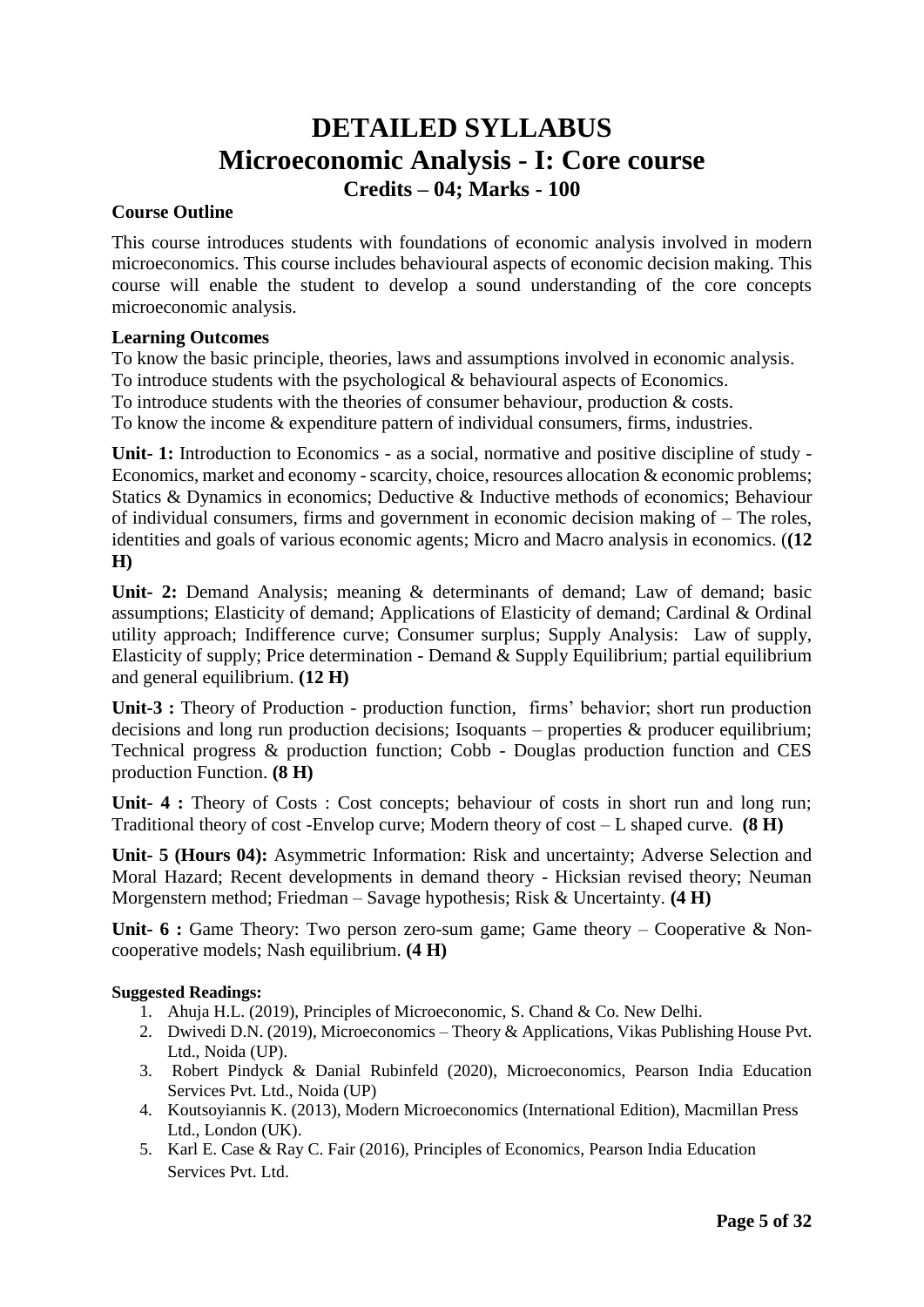### **DETAILED SYLLABUS Microeconomic Analysis - I: Core course Credits – 04; Marks - 100**

### **Course Outline**

This course introduces students with foundations of economic analysis involved in modern microeconomics. This course includes behavioural aspects of economic decision making. This course will enable the student to develop a sound understanding of the core concepts microeconomic analysis.

### **Learning Outcomes**

To know the basic principle, theories, laws and assumptions involved in economic analysis. To introduce students with the psychological & behavioural aspects of Economics. To introduce students with the theories of consumer behaviour, production & costs. To know the income & expenditure pattern of individual consumers, firms, industries.

**Unit- 1:** Introduction to Economics - as a social, normative and positive discipline of study - Economics, market and economy - scarcity, choice, resources allocation & economic problems; Statics & Dynamics in economics; Deductive & Inductive methods of economics; Behaviour of individual consumers, firms and government in economic decision making of – The roles, identities and goals of various economic agents; Micro and Macro analysis in economics. (**(12 H)**

**Unit- 2:** Demand Analysis; meaning & determinants of demand; Law of demand; basic assumptions; Elasticity of demand; Applications of Elasticity of demand; Cardinal & Ordinal utility approach; Indifference curve; Consumer surplus; Supply Analysis: Law of supply, Elasticity of supply; Price determination - Demand & Supply Equilibrium; partial equilibrium and general equilibrium. **(12 H)**

**Unit-3 :** Theory of Production - production function, firms' behavior; short run production decisions and long run production decisions; Isoquants – properties & producer equilibrium; Technical progress & production function; Cobb - Douglas production function and CES production Function. **(8 H)**

**Unit- 4 :** Theory of Costs : Cost concepts; behaviour of costs in short run and long run; Traditional theory of cost -Envelop curve; Modern theory of cost – L shaped curve. **(8 H)**

**Unit- 5 (Hours 04):** Asymmetric Information: Risk and uncertainty; Adverse Selection and Moral Hazard; Recent developments in demand theory - Hicksian revised theory; Neuman Morgenstern method; Friedman – Savage hypothesis; Risk & Uncertainty. **(4 H)**

**Unit- 6 :** Game Theory: Two person zero-sum game; Game theory – Cooperative & Noncooperative models; Nash equilibrium. **(4 H)**

### **Suggested Readings:**

- 1. Ahuja H.L. (2019), Principles of Microeconomic, S. Chand & Co. New Delhi.
- 2. Dwivedi D.N. (2019), Microeconomics Theory & Applications, Vikas Publishing House Pvt. Ltd., Noida (UP).
- 3. Robert Pindyck & Danial Rubinfeld (2020), Microeconomics, Pearson India Education Services Pvt. Ltd., Noida (UP)
- 4. Koutsoyiannis K. (2013), Modern Microeconomics (International Edition), Macmillan Press Ltd., London (UK).
- 5. Karl E. Case & Ray C. Fair (2016), Principles of Economics, Pearson India Education Services Pvt. Ltd.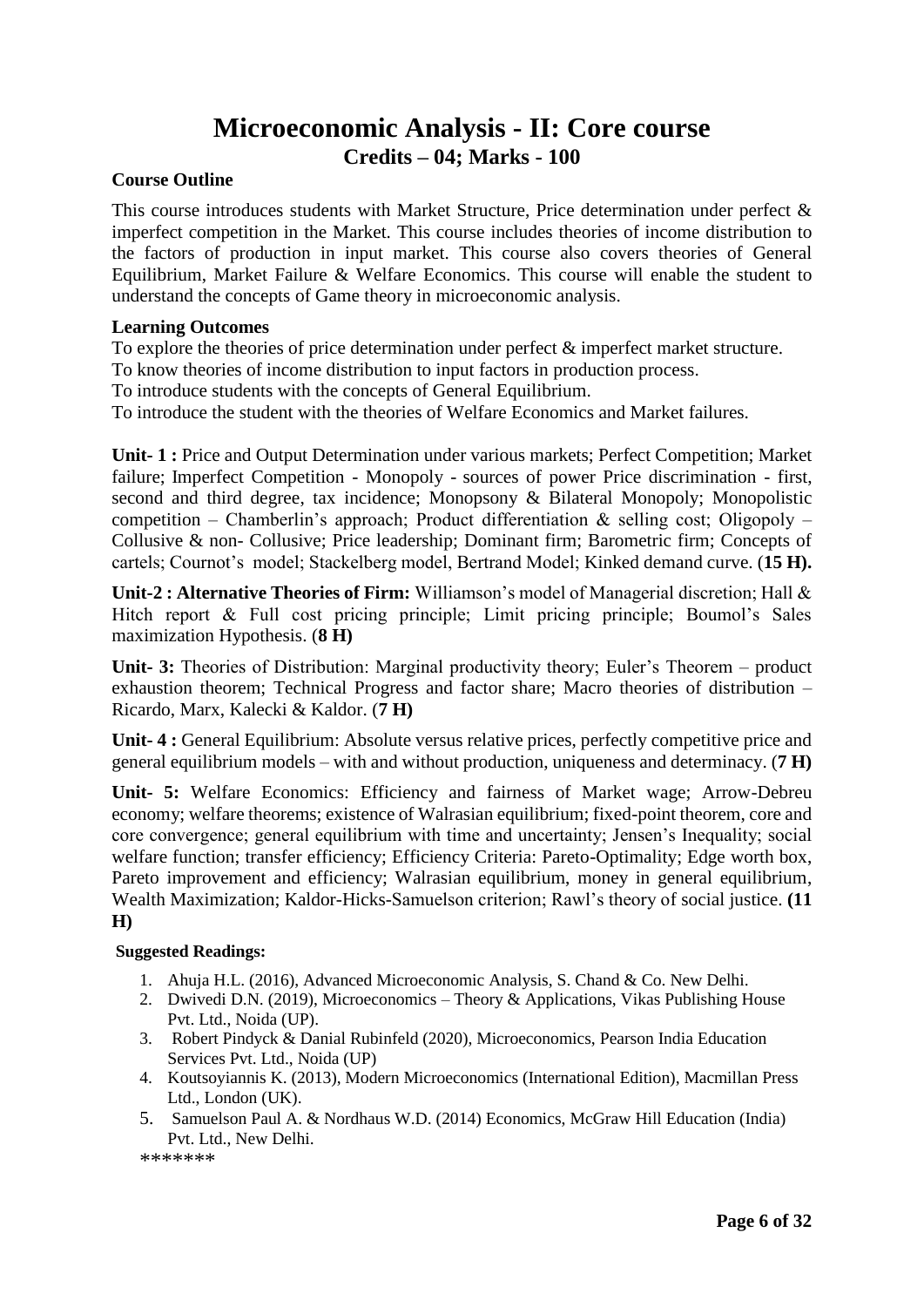### **Microeconomic Analysis - II: Core course Credits – 04; Marks - 100**

### **Course Outline**

This course introduces students with Market Structure, Price determination under perfect & imperfect competition in the Market. This course includes theories of income distribution to the factors of production in input market. This course also covers theories of General Equilibrium, Market Failure & Welfare Economics. This course will enable the student to understand the concepts of Game theory in microeconomic analysis.

### **Learning Outcomes**

To explore the theories of price determination under perfect  $\&$  imperfect market structure.

To know theories of income distribution to input factors in production process.

To introduce students with the concepts of General Equilibrium.

To introduce the student with the theories of Welfare Economics and Market failures.

**Unit- 1 :** Price and Output Determination under various markets; Perfect Competition; Market failure; Imperfect Competition - Monopoly - sources of power Price discrimination - first, second and third degree, tax incidence; Monopsony & Bilateral Monopoly; Monopolistic competition – Chamberlin's approach; Product differentiation  $\&$  selling cost; Oligopoly – Collusive & non- Collusive; Price leadership; Dominant firm; Barometric firm; Concepts of cartels; Cournot's model; Stackelberg model, Bertrand Model; Kinked demand curve. (**15 H).**

**Unit-2 : Alternative Theories of Firm:** Williamson's model of Managerial discretion; Hall & Hitch report & Full cost pricing principle; Limit pricing principle; Boumol's Sales maximization Hypothesis. (**8 H)**

**Unit- 3:** Theories of Distribution: Marginal productivity theory; Euler's Theorem – product exhaustion theorem; Technical Progress and factor share; Macro theories of distribution – Ricardo, Marx, Kalecki & Kaldor. (**7 H)**

**Unit- 4 :** General Equilibrium: Absolute versus relative prices, perfectly competitive price and general equilibrium models – with and without production, uniqueness and determinacy. (**7 H)**

**Unit- 5:** Welfare Economics: Efficiency and fairness of Market wage; Arrow-Debreu economy; welfare theorems; existence of Walrasian equilibrium; fixed-point theorem, core and core convergence; general equilibrium with time and uncertainty; Jensen's Inequality; social welfare function; transfer efficiency; Efficiency Criteria: Pareto-Optimality; Edge worth box, Pareto improvement and efficiency; Walrasian equilibrium, money in general equilibrium, Wealth Maximization; Kaldor-Hicks-Samuelson criterion; Rawl's theory of social justice. **(11 H)**

### **Suggested Readings:**

- 1. Ahuja H.L. (2016), Advanced Microeconomic Analysis, S. Chand & Co. New Delhi.
- 2. Dwivedi D.N. (2019), Microeconomics Theory & Applications, Vikas Publishing House Pvt. Ltd., Noida (UP).
- 3. Robert Pindyck & Danial Rubinfeld (2020), Microeconomics, Pearson India Education Services Pvt. Ltd., Noida (UP)
- 4. Koutsoyiannis K. (2013), Modern Microeconomics (International Edition), Macmillan Press Ltd., London (UK).
- 5. Samuelson Paul A. & Nordhaus W.D. (2014) Economics, McGraw Hill Education (India) Pvt. Ltd., New Delhi.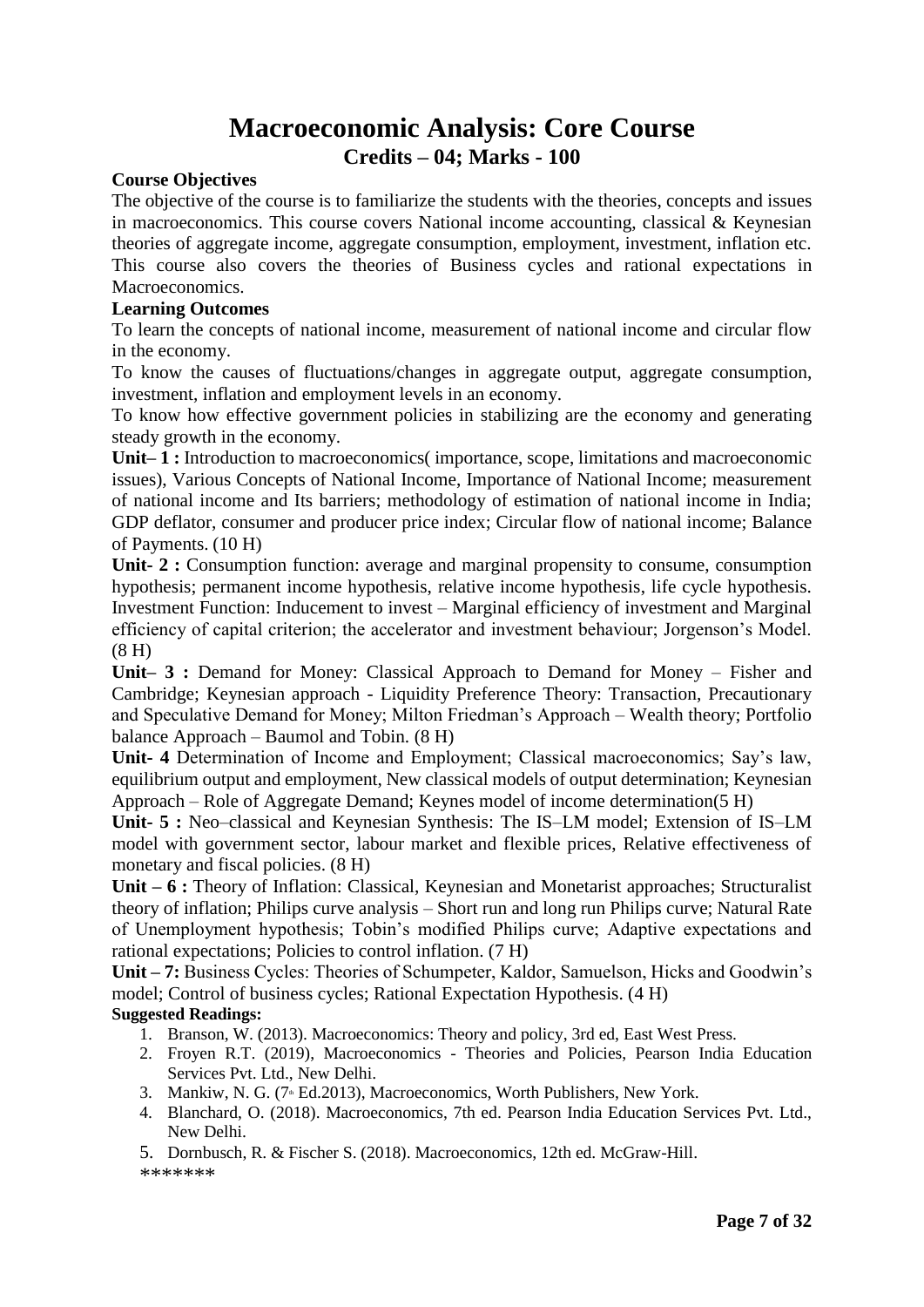### **Macroeconomic Analysis: Core Course Credits – 04; Marks - 100**

#### **Course Objectives**

The objective of the course is to familiarize the students with the theories, concepts and issues in macroeconomics. This course covers National income accounting, classical  $\&$  Keynesian theories of aggregate income, aggregate consumption, employment, investment, inflation etc. This course also covers the theories of Business cycles and rational expectations in Macroeconomics.

#### **Learning Outcomes**

To learn the concepts of national income, measurement of national income and circular flow in the economy.

To know the causes of fluctuations/changes in aggregate output, aggregate consumption, investment, inflation and employment levels in an economy.

To know how effective government policies in stabilizing are the economy and generating steady growth in the economy.

**Unit– 1 :** Introduction to macroeconomics( importance, scope, limitations and macroeconomic issues), Various Concepts of National Income, Importance of National Income; measurement of national income and Its barriers; methodology of estimation of national income in India; GDP deflator, consumer and producer price index; Circular flow of national income; Balance of Payments. (10 H)

**Unit- 2 :** Consumption function: average and marginal propensity to consume, consumption hypothesis; permanent income hypothesis, relative income hypothesis, life cycle hypothesis. Investment Function: Inducement to invest – Marginal efficiency of investment and Marginal efficiency of capital criterion; the accelerator and investment behaviour; Jorgenson's Model. (8 H)

**Unit– 3 :** Demand for Money: Classical Approach to Demand for Money – Fisher and Cambridge; Keynesian approach - Liquidity Preference Theory: Transaction, Precautionary and Speculative Demand for Money; Milton Friedman's Approach – Wealth theory; Portfolio balance Approach – Baumol and Tobin. (8 H)

**Unit- 4** Determination of Income and Employment; Classical macroeconomics; Say's law, equilibrium output and employment, New classical models of output determination; Keynesian Approach – Role of Aggregate Demand; Keynes model of income determination(5 H)

**Unit- 5 :** Neo–classical and Keynesian Synthesis: The IS–LM model; Extension of IS–LM model with government sector, labour market and flexible prices, Relative effectiveness of monetary and fiscal policies. (8 H)

**Unit – 6 :** Theory of Inflation: Classical, Keynesian and Monetarist approaches; Structuralist theory of inflation; Philips curve analysis – Short run and long run Philips curve; Natural Rate of Unemployment hypothesis; Tobin's modified Philips curve; Adaptive expectations and rational expectations; Policies to control inflation. (7 H)

**Unit – 7:** Business Cycles: Theories of Schumpeter, Kaldor, Samuelson, Hicks and Goodwin's model; Control of business cycles; Rational Expectation Hypothesis. (4 H)

### **Suggested Readings:**

- 1. Branson, W. (2013). Macroeconomics: Theory and policy, 3rd ed, East West Press.
- 2. Froyen R.T. (2019), Macroeconomics Theories and Policies, Pearson India Education Services Pvt. Ltd., New Delhi.
- 3. Mankiw, N. G. (7<sup>th</sup> Ed.2013), Macroeconomics, Worth Publishers, New York.
- 4. Blanchard, O. (2018). Macroeconomics, 7th ed. Pearson India Education Services Pvt. Ltd., New Delhi.

5. Dornbusch, R. & Fischer S. (2018). Macroeconomics, 12th ed. McGraw-Hill. \*\*\*\*\*\*\*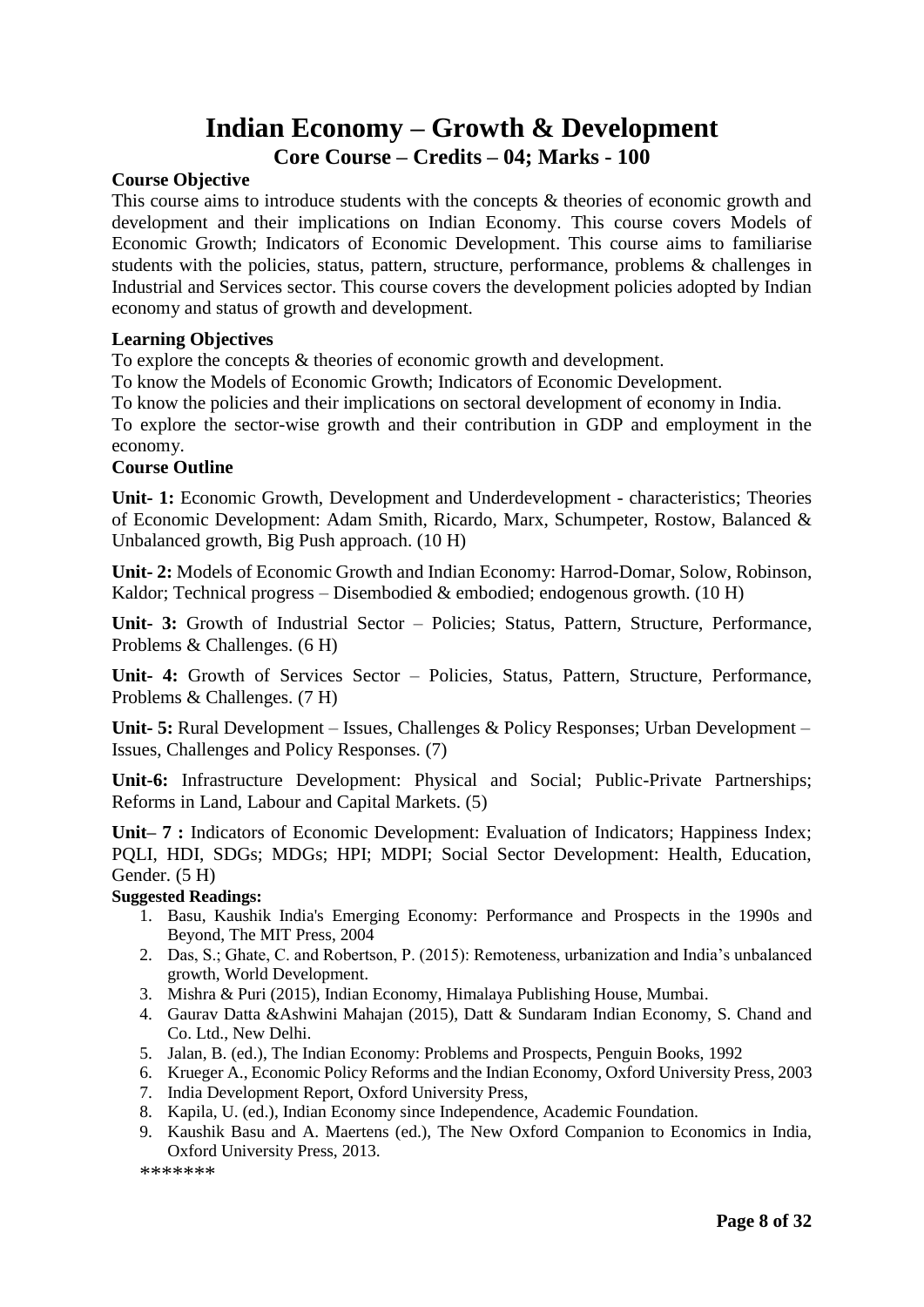### **Indian Economy – Growth & Development Core Course – Credits – 04; Marks - 100**

#### **Course Objective**

This course aims to introduce students with the concepts & theories of economic growth and development and their implications on Indian Economy. This course covers Models of Economic Growth; Indicators of Economic Development. This course aims to familiarise students with the policies, status, pattern, structure, performance, problems & challenges in Industrial and Services sector. This course covers the development policies adopted by Indian economy and status of growth and development.

#### **Learning Objectives**

To explore the concepts & theories of economic growth and development.

To know the Models of Economic Growth; Indicators of Economic Development.

To know the policies and their implications on sectoral development of economy in India. To explore the sector-wise growth and their contribution in GDP and employment in the economy.

#### **Course Outline**

**Unit- 1:** Economic Growth, Development and Underdevelopment - characteristics; Theories of Economic Development: Adam Smith, Ricardo, Marx, Schumpeter, Rostow, Balanced & Unbalanced growth, Big Push approach. (10 H)

**Unit- 2:** Models of Economic Growth and Indian Economy: Harrod-Domar, Solow, Robinson, Kaldor; Technical progress – Disembodied & embodied; endogenous growth.  $(10 H)$ 

**Unit- 3:** Growth of Industrial Sector – Policies; Status, Pattern, Structure, Performance, Problems & Challenges. (6 H)

**Unit- 4:** Growth of Services Sector – Policies, Status, Pattern, Structure, Performance, Problems & Challenges. (7 H)

**Unit- 5:** Rural Development – Issues, Challenges & Policy Responses; Urban Development – Issues, Challenges and Policy Responses. (7)

**Unit-6:** Infrastructure Development: Physical and Social; Public-Private Partnerships; Reforms in Land, Labour and Capital Markets. (5)

**Unit– 7 :** Indicators of Economic Development: Evaluation of Indicators; Happiness Index; PQLI, HDI, SDGs; MDGs; HPI; MDPI; Social Sector Development: Health, Education, Gender. (5 H)

#### **Suggested Readings:**

- 1. Basu, Kaushik India's Emerging Economy: Performance and Prospects in the 1990s and Beyond, The MIT Press, 2004
- 2. Das, S.; Ghate, C. and Robertson, P. (2015): Remoteness, urbanization and India's unbalanced growth, World Development.
- 3. Mishra & Puri (2015), Indian Economy, Himalaya Publishing House, Mumbai.
- 4. Gaurav Datta &Ashwini Mahajan (2015), Datt & Sundaram Indian Economy, S. Chand and Co. Ltd., New Delhi.
- 5. Jalan, B. (ed.), The Indian Economy: Problems and Prospects, Penguin Books, 1992
- 6. Krueger A., Economic Policy Reforms and the Indian Economy, Oxford University Press, 2003
- 7. India Development Report, Oxford University Press,
- 8. Kapila, U. (ed.), Indian Economy since Independence, Academic Foundation.
- 9. Kaushik Basu and A. Maertens (ed.), The New Oxford Companion to Economics in India, Oxford University Press, 2013.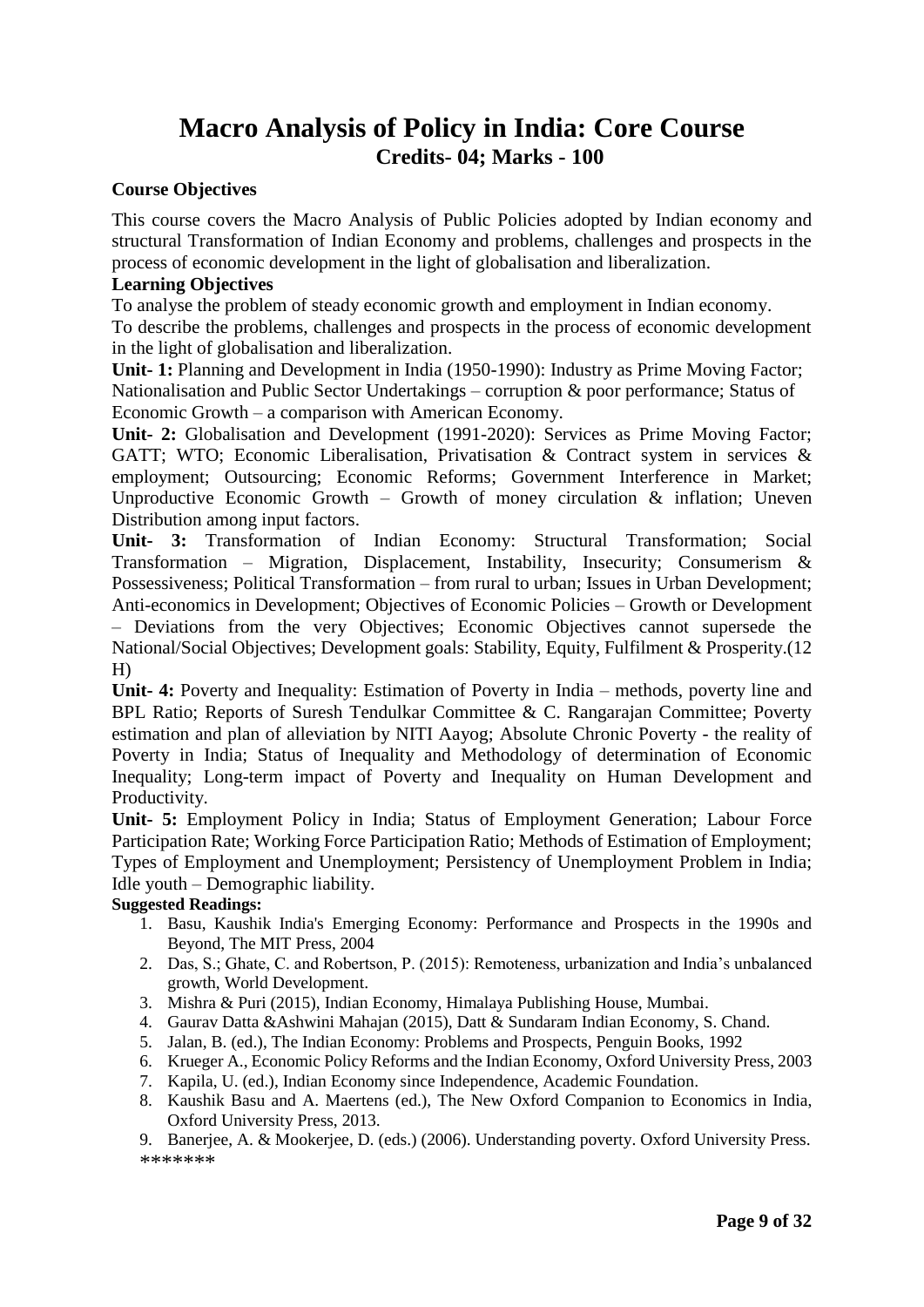### **Macro Analysis of Policy in India: Core Course Credits- 04; Marks - 100**

#### **Course Objectives**

This course covers the Macro Analysis of Public Policies adopted by Indian economy and structural Transformation of Indian Economy and problems, challenges and prospects in the process of economic development in the light of globalisation and liberalization.

#### **Learning Objectives**

To analyse the problem of steady economic growth and employment in Indian economy. To describe the problems, challenges and prospects in the process of economic development in the light of globalisation and liberalization.

**Unit- 1:** Planning and Development in India (1950-1990): Industry as Prime Moving Factor; Nationalisation and Public Sector Undertakings – corruption & poor performance; Status of Economic Growth – a comparison with American Economy.

**Unit- 2:** Globalisation and Development (1991-2020): Services as Prime Moving Factor; GATT; WTO; Economic Liberalisation, Privatisation & Contract system in services & employment; Outsourcing; Economic Reforms; Government Interference in Market; Unproductive Economic Growth – Growth of money circulation  $\&$  inflation; Uneven Distribution among input factors.

**Unit- 3:** Transformation of Indian Economy: Structural Transformation; Social Transformation – Migration, Displacement, Instability, Insecurity; Consumerism & Possessiveness; Political Transformation – from rural to urban; Issues in Urban Development; Anti-economics in Development; Objectives of Economic Policies – Growth or Development

– Deviations from the very Objectives; Economic Objectives cannot supersede the National/Social Objectives; Development goals: Stability, Equity, Fulfilment & Prosperity.(12 H)

**Unit- 4:** Poverty and Inequality: Estimation of Poverty in India – methods, poverty line and BPL Ratio; Reports of Suresh Tendulkar Committee & C. Rangarajan Committee; Poverty estimation and plan of alleviation by NITI Aayog; Absolute Chronic Poverty - the reality of Poverty in India; Status of Inequality and Methodology of determination of Economic Inequality; Long-term impact of Poverty and Inequality on Human Development and Productivity.

**Unit- 5:** Employment Policy in India; Status of Employment Generation; Labour Force Participation Rate; Working Force Participation Ratio; Methods of Estimation of Employment; Types of Employment and Unemployment; Persistency of Unemployment Problem in India; Idle youth – Demographic liability.

#### **Suggested Readings:**

- 1. Basu, Kaushik India's Emerging Economy: Performance and Prospects in the 1990s and Beyond, The MIT Press, 2004
- 2. Das, S.; Ghate, C. and Robertson, P. (2015): Remoteness, urbanization and India's unbalanced growth, World Development.
- 3. Mishra & Puri (2015), Indian Economy, Himalaya Publishing House, Mumbai.
- 4. Gaurav Datta &Ashwini Mahajan (2015), Datt & Sundaram Indian Economy, S. Chand.
- 5. Jalan, B. (ed.), The Indian Economy: Problems and Prospects, Penguin Books, 1992
- 6. Krueger A., Economic Policy Reforms and the Indian Economy, Oxford University Press, 2003
- 7. Kapila, U. (ed.), Indian Economy since Independence, Academic Foundation.
- 8. Kaushik Basu and A. Maertens (ed.), The New Oxford Companion to Economics in India, Oxford University Press, 2013.

9. Banerjee, A. & Mookerjee, D. (eds.) (2006). Understanding poverty. Oxford University Press. \*\*\*\*\*\*\*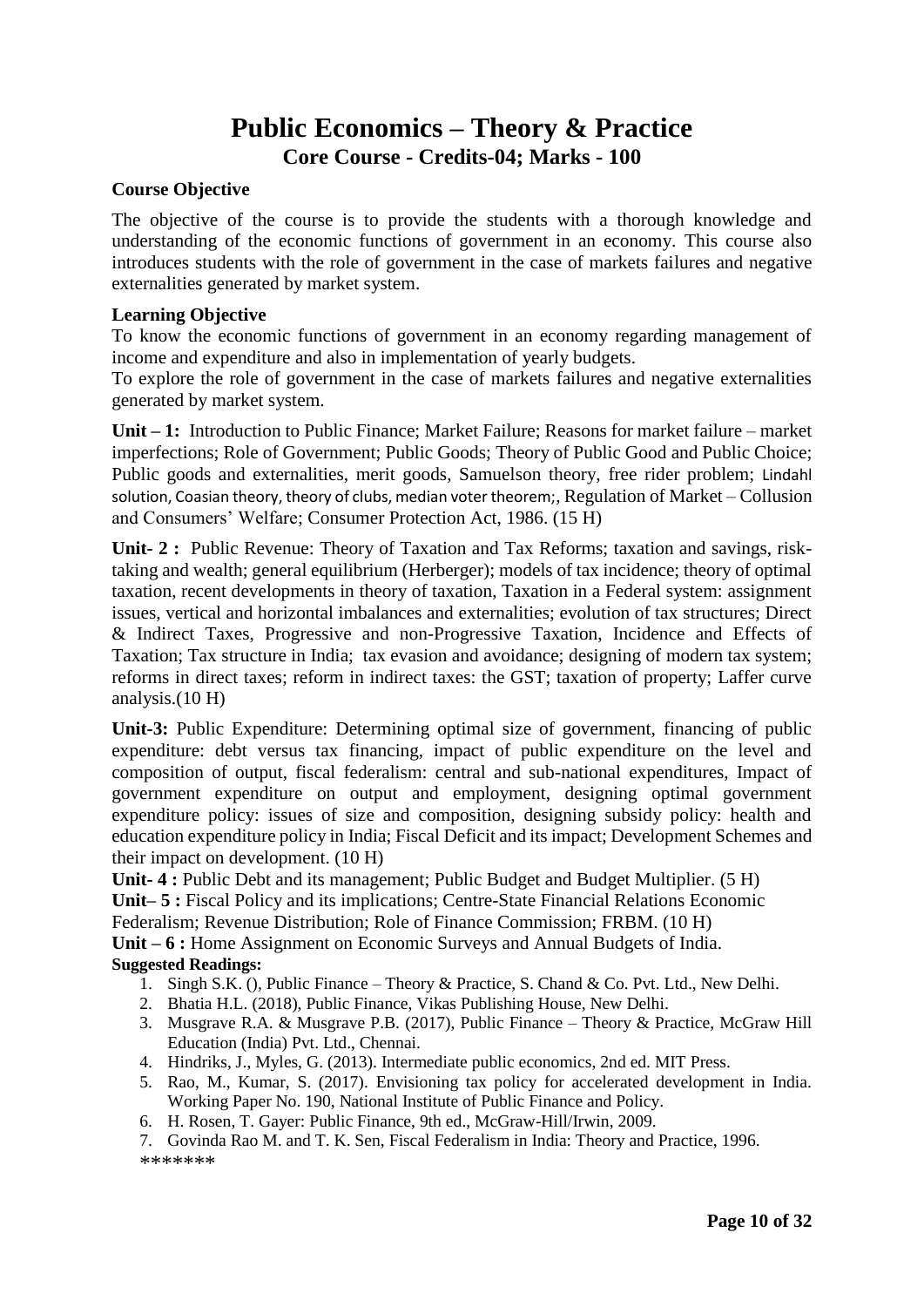### **Public Economics – Theory & Practice Core Course - Credits-04; Marks - 100**

### **Course Objective**

The objective of the course is to provide the students with a thorough knowledge and understanding of the economic functions of government in an economy. This course also introduces students with the role of government in the case of markets failures and negative externalities generated by market system.

### **Learning Objective**

To know the economic functions of government in an economy regarding management of income and expenditure and also in implementation of yearly budgets.

To explore the role of government in the case of markets failures and negative externalities generated by market system.

**Unit – 1:** Introduction to Public Finance; Market Failure; Reasons for market failure – market imperfections; Role of Government; Public Goods; Theory of Public Good and Public Choice; Public goods and externalities, merit goods, Samuelson theory, free rider problem; Lindahl solution, Coasian theory, theory of clubs, median voter theorem;, Regulation of Market – Collusion and Consumers' Welfare; Consumer Protection Act, 1986. (15 H)

**Unit- 2 :** Public Revenue: Theory of Taxation and Tax Reforms; taxation and savings, risktaking and wealth; general equilibrium (Herberger); models of tax incidence; theory of optimal taxation, recent developments in theory of taxation, Taxation in a Federal system: assignment issues, vertical and horizontal imbalances and externalities; evolution of tax structures; Direct & Indirect Taxes, Progressive and non-Progressive Taxation, Incidence and Effects of Taxation; Tax structure in India; tax evasion and avoidance; designing of modern tax system; reforms in direct taxes; reform in indirect taxes: the GST; taxation of property; Laffer curve analysis.(10 H)

**Unit-3:** Public Expenditure: Determining optimal size of government, financing of public expenditure: debt versus tax financing, impact of public expenditure on the level and composition of output, fiscal federalism: central and sub-national expenditures, Impact of government expenditure on output and employment, designing optimal government expenditure policy: issues of size and composition, designing subsidy policy: health and education expenditure policy in India; Fiscal Deficit and its impact; Development Schemes and their impact on development. (10 H)

**Unit- 4 :** Public Debt and its management; Public Budget and Budget Multiplier. (5 H)

**Unit– 5 :** Fiscal Policy and its implications; Centre-State Financial Relations Economic

Federalism; Revenue Distribution; Role of Finance Commission; FRBM. (10 H)

**Unit – 6 :** Home Assignment on Economic Surveys and Annual Budgets of India.

### **Suggested Readings:**

- 1. Singh S.K. (), Public Finance Theory & Practice, S. Chand & Co. Pvt. Ltd., New Delhi.
- 2. Bhatia H.L. (2018), Public Finance, Vikas Publishing House, New Delhi.
- 3. Musgrave R.A. & Musgrave P.B. (2017), Public Finance Theory & Practice, McGraw Hill Education (India) Pvt. Ltd., Chennai.
- 4. Hindriks, J., Myles, G. (2013). Intermediate public economics, 2nd ed. MIT Press.
- 5. Rao, M., Kumar, S. (2017). Envisioning tax policy for accelerated development in India. Working Paper No. 190, National Institute of Public Finance and Policy.
- 6. H. Rosen, T. Gayer: Public Finance, 9th ed., McGraw-Hill/Irwin, 2009.

7. Govinda Rao M. and T. K. Sen, Fiscal Federalism in India: Theory and Practice, 1996. \*\*\*\*\*\*\*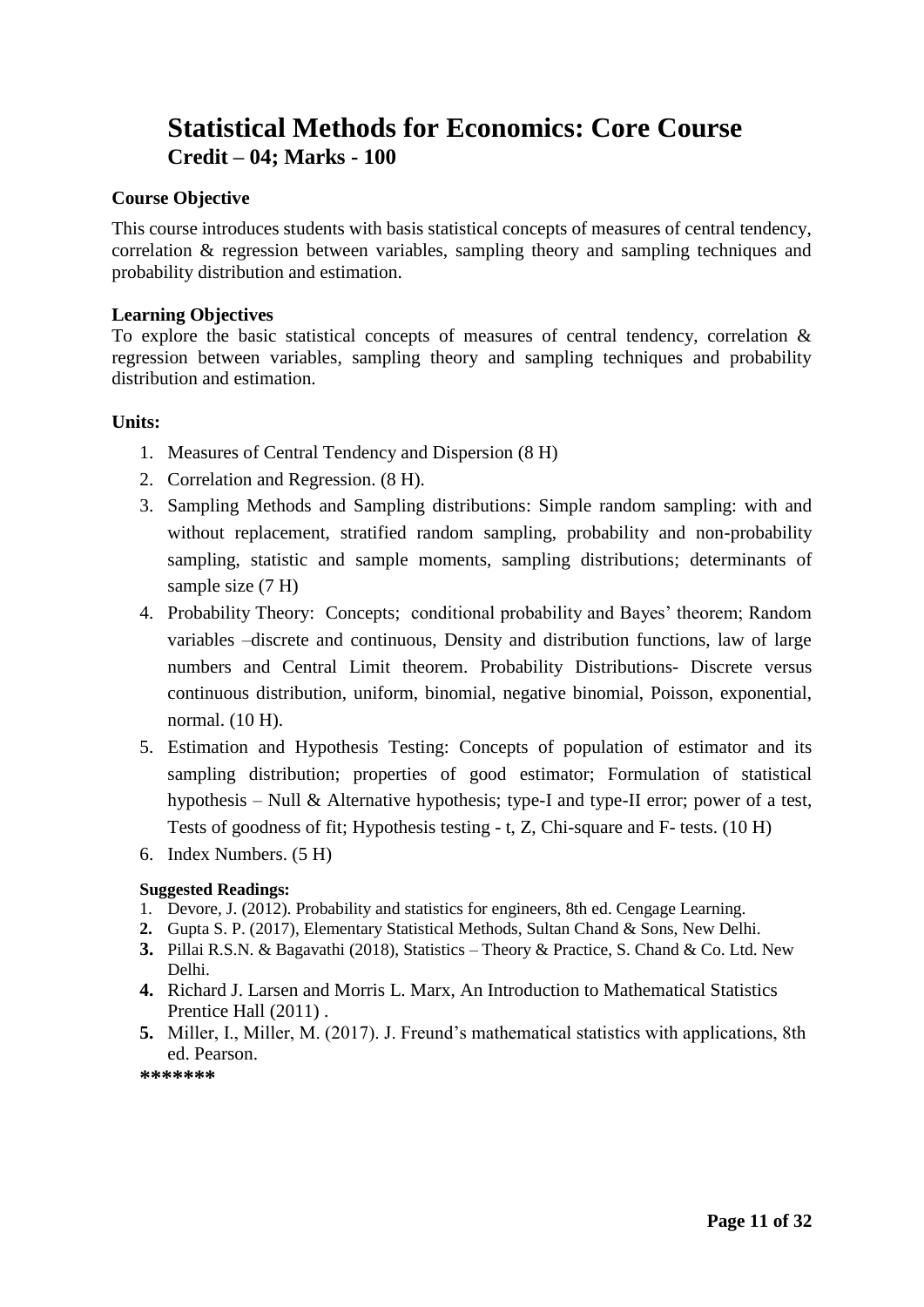### **Statistical Methods for Economics: Core Course Credit – 04; Marks - 100**

### **Course Objective**

This course introduces students with basis statistical concepts of measures of central tendency, correlation & regression between variables, sampling theory and sampling techniques and probability distribution and estimation.

### **Learning Objectives**

To explore the basic statistical concepts of measures of central tendency, correlation & regression between variables, sampling theory and sampling techniques and probability distribution and estimation.

### **Units:**

- 1. Measures of Central Tendency and Dispersion (8 H)
- 2. Correlation and Regression. (8 H).
- 3. Sampling Methods and Sampling distributions: Simple random sampling: with and without replacement, stratified random sampling, probability and non-probability sampling, statistic and sample moments, sampling distributions; determinants of sample size  $(7 H)$
- 4. Probability Theory: Concepts; conditional probability and Bayes' theorem; Random variables –discrete and continuous, Density and distribution functions, law of large numbers and Central Limit theorem. Probability Distributions- Discrete versus continuous distribution, uniform, binomial, negative binomial, Poisson, exponential, normal. (10 H).
- 5. Estimation and Hypothesis Testing: Concepts of population of estimator and its sampling distribution; properties of good estimator; Formulation of statistical hypothesis – Null & Alternative hypothesis; type-I and type-II error; power of a test, Tests of goodness of fit; Hypothesis testing - t, Z, Chi-square and F- tests. (10 H)
- 6. Index Numbers. (5 H)

### **Suggested Readings:**

- 1. Devore, J. (2012). Probability and statistics for engineers, 8th ed. Cengage Learning.
- **2.** Gupta S. P. (2017), Elementary Statistical Methods, Sultan Chand & Sons, New Delhi.
- **3.** Pillai R.S.N. & Bagavathi (2018), Statistics Theory & Practice, S. Chand & Co. Ltd. New Delhi.
- **4.** Richard J. Larsen and Morris L. Marx, An Introduction to Mathematical Statistics Prentice Hall (2011) .
- **5.** Miller, I., Miller, M. (2017). J. Freund's mathematical statistics with applications, 8th ed. Pearson.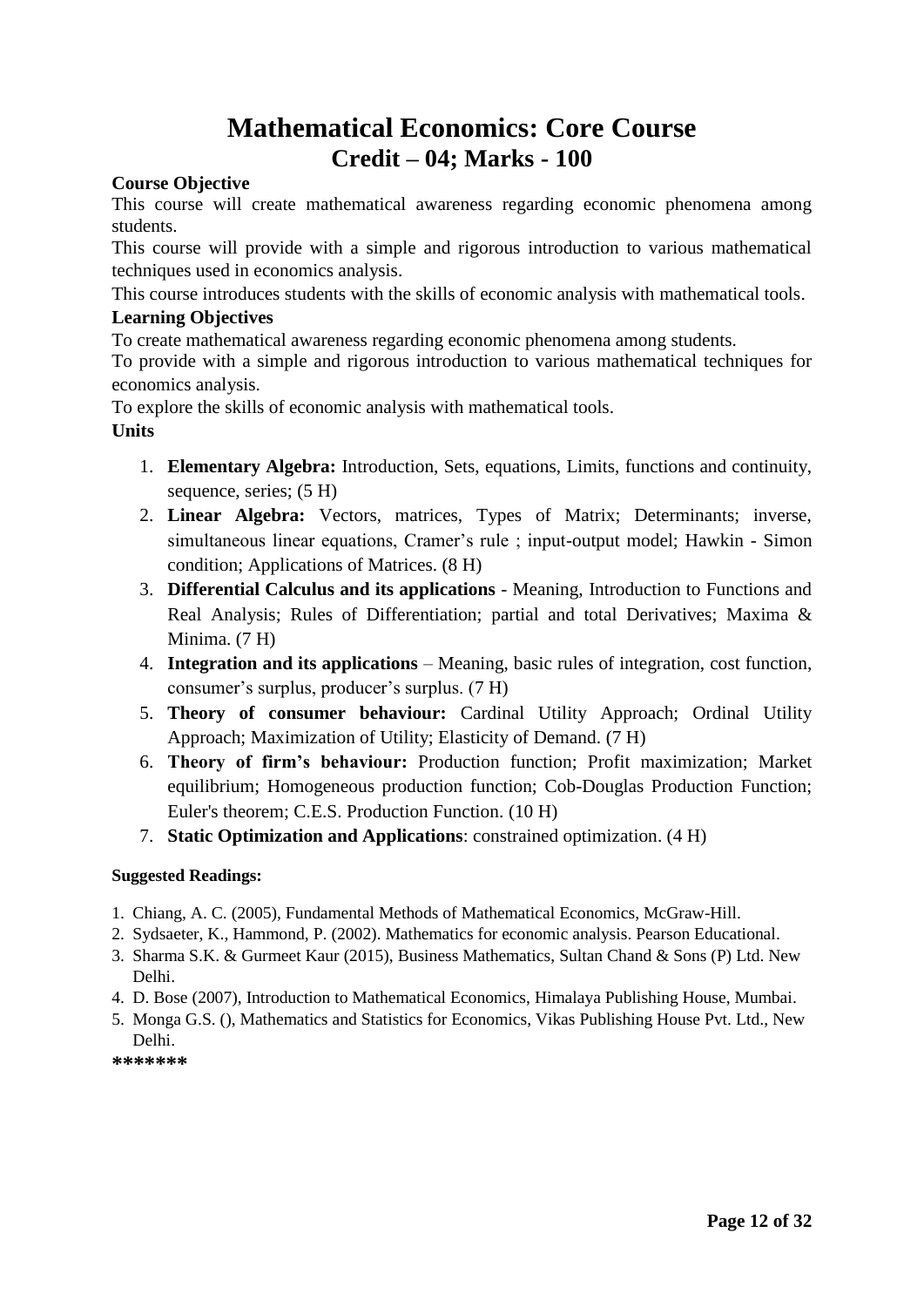### **Mathematical Economics: Core Course Credit – 04; Marks - 100**

### **Course Objective**

This course will create mathematical awareness regarding economic phenomena among students.

This course will provide with a simple and rigorous introduction to various mathematical techniques used in economics analysis.

This course introduces students with the skills of economic analysis with mathematical tools.

### **Learning Objectives**

To create mathematical awareness regarding economic phenomena among students.

To provide with a simple and rigorous introduction to various mathematical techniques for economics analysis.

To explore the skills of economic analysis with mathematical tools. **Units**

- 1. **Elementary Algebra:** Introduction, Sets, equations, Limits, functions and continuity, sequence, series; (5 H)
- 2. **Linear Algebra:** Vectors, matrices, Types of Matrix; Determinants; inverse, simultaneous linear equations, Cramer's rule ; input-output model; Hawkin - Simon condition; Applications of Matrices. (8 H)
- 3. **Differential Calculus and its applications** Meaning, Introduction to Functions and Real Analysis; Rules of Differentiation; partial and total Derivatives; Maxima & Minima. (7 H)
- 4. **Integration and its applications**  Meaning, basic rules of integration, cost function, consumer's surplus, producer's surplus. (7 H)
- 5. **Theory of consumer behaviour:** Cardinal Utility Approach; Ordinal Utility Approach; Maximization of Utility; Elasticity of Demand. (7 H)
- 6. **Theory of firm's behaviour:** Production function; Profit maximization; Market equilibrium; Homogeneous production function; Cob-Douglas Production Function; Euler's theorem; C.E.S. Production Function. (10 H)
- 7. **Static Optimization and Applications**: constrained optimization. (4 H)

### **Suggested Readings:**

- 1. Chiang, A. C. (2005), Fundamental Methods of Mathematical Economics, McGraw-Hill.
- 2. Sydsaeter, K., Hammond, P. (2002). Mathematics for economic analysis. Pearson Educational.
- 3. Sharma S.K. & Gurmeet Kaur (2015), Business Mathematics, Sultan Chand & Sons (P) Ltd. New Delhi.
- 4. D. Bose (2007), Introduction to Mathematical Economics, Himalaya Publishing House, Mumbai.
- 5. Monga G.S. (), Mathematics and Statistics for Economics, Vikas Publishing House Pvt. Ltd., New Delhi.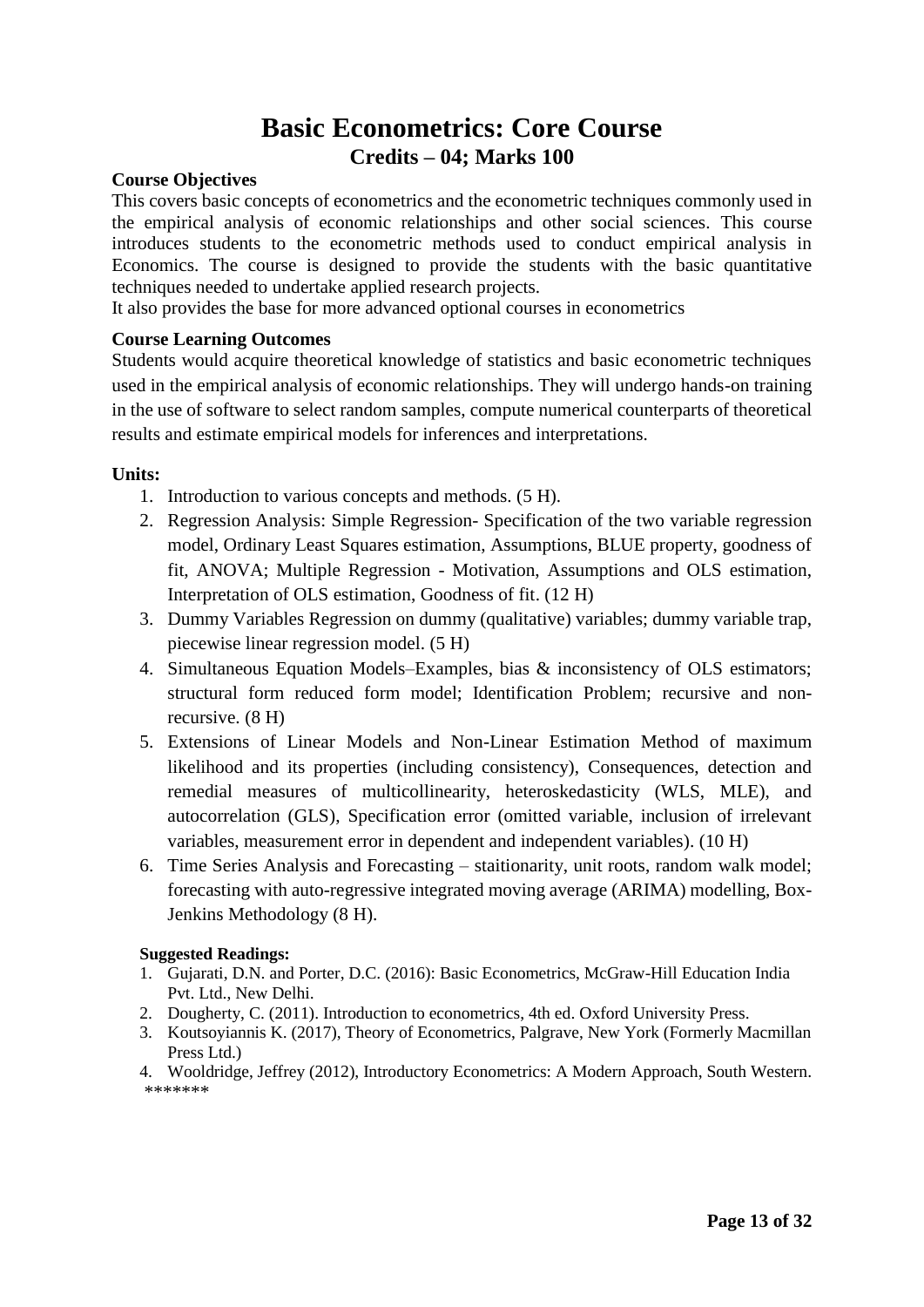### **Basic Econometrics: Core Course Credits – 04; Marks 100**

### **Course Objectives**

This covers basic concepts of econometrics and the econometric techniques commonly used in the empirical analysis of economic relationships and other social sciences. This course introduces students to the econometric methods used to conduct empirical analysis in Economics. The course is designed to provide the students with the basic quantitative techniques needed to undertake applied research projects.

It also provides the base for more advanced optional courses in econometrics

### **Course Learning Outcomes**

Students would acquire theoretical knowledge of statistics and basic econometric techniques used in the empirical analysis of economic relationships. They will undergo hands-on training in the use of software to select random samples, compute numerical counterparts of theoretical results and estimate empirical models for inferences and interpretations.

### **Units:**

- 1. Introduction to various concepts and methods. (5 H).
- 2. Regression Analysis: Simple Regression- Specification of the two variable regression model, Ordinary Least Squares estimation, Assumptions, BLUE property, goodness of fit, ANOVA; Multiple Regression - Motivation, Assumptions and OLS estimation, Interpretation of OLS estimation, Goodness of fit. (12 H)
- 3. Dummy Variables Regression on dummy (qualitative) variables; dummy variable trap, piecewise linear regression model. (5 H)
- 4. Simultaneous Equation Models–Examples, bias & inconsistency of OLS estimators; structural form reduced form model; Identification Problem; recursive and nonrecursive. (8 H)
- 5. Extensions of Linear Models and Non-Linear Estimation Method of maximum likelihood and its properties (including consistency), Consequences, detection and remedial measures of multicollinearity, heteroskedasticity (WLS, MLE), and autocorrelation (GLS), Specification error (omitted variable, inclusion of irrelevant variables, measurement error in dependent and independent variables). (10 H)
- 6. Time Series Analysis and Forecasting staitionarity, unit roots, random walk model; forecasting with auto-regressive integrated moving average (ARIMA) modelling, Box-Jenkins Methodology (8 H).

### **Suggested Readings:**

- 1. Gujarati, D.N. and Porter, D.C. (2016): Basic Econometrics, McGraw-Hill Education India Pvt. Ltd., New Delhi.
- 2. Dougherty, C. (2011). Introduction to econometrics, 4th ed. Oxford University Press.
- 3. Koutsoyiannis K. (2017), Theory of Econometrics, Palgrave, New York (Formerly Macmillan Press Ltd.)
- 4. Wooldridge, Jeffrey (2012), Introductory Econometrics: A Modern Approach, South Western. \*\*\*\*\*\*\*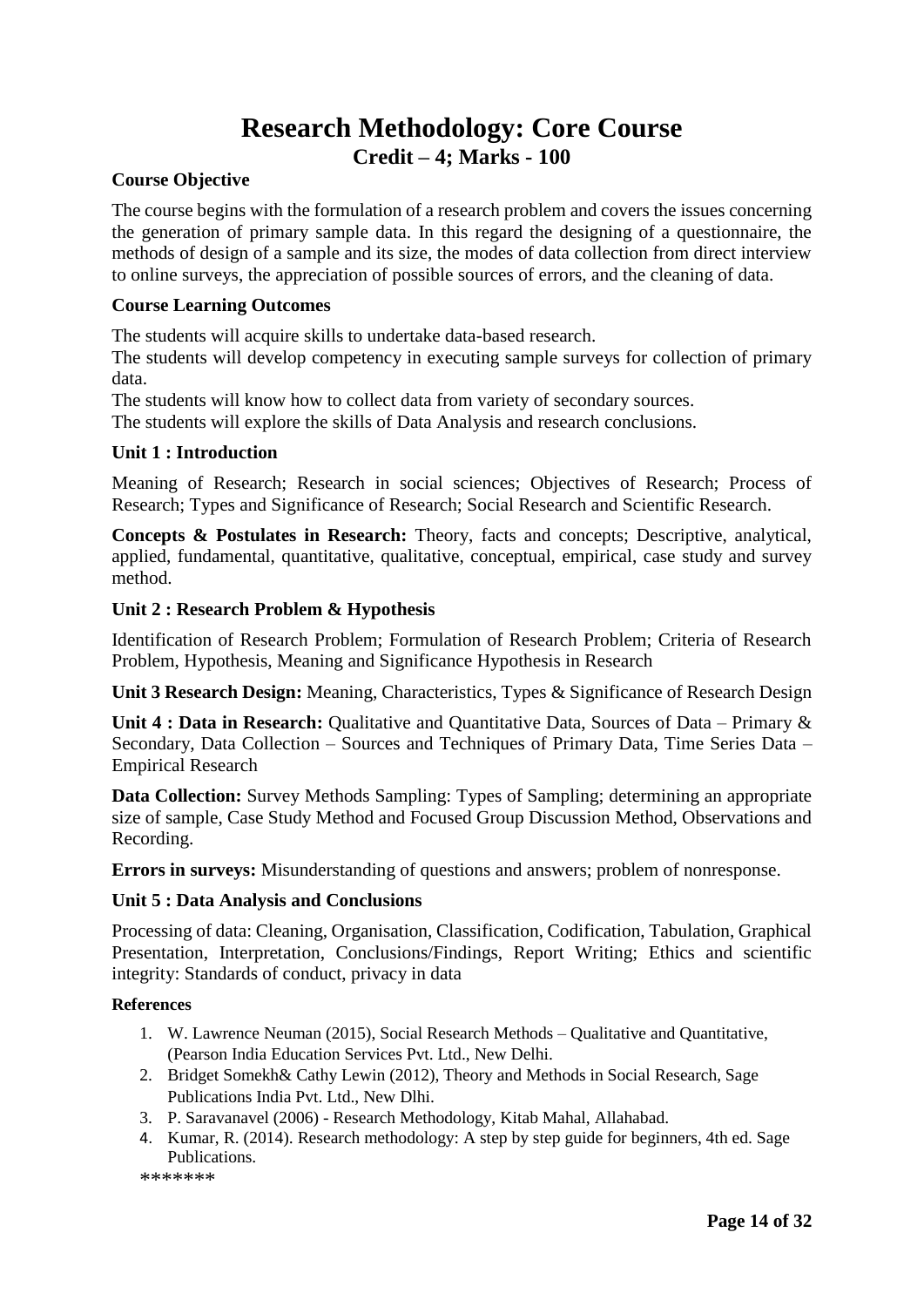### **Research Methodology: Core Course Credit – 4; Marks - 100**

### **Course Objective**

The course begins with the formulation of a research problem and covers the issues concerning the generation of primary sample data. In this regard the designing of a questionnaire, the methods of design of a sample and its size, the modes of data collection from direct interview to online surveys, the appreciation of possible sources of errors, and the cleaning of data.

### **Course Learning Outcomes**

The students will acquire skills to undertake data-based research.

The students will develop competency in executing sample surveys for collection of primary data.

The students will know how to collect data from variety of secondary sources.

The students will explore the skills of Data Analysis and research conclusions.

### **Unit 1 : Introduction**

Meaning of Research; Research in social sciences; Objectives of Research; Process of Research; Types and Significance of Research; Social Research and Scientific Research.

**Concepts & Postulates in Research:** Theory, facts and concepts; Descriptive, analytical, applied, fundamental, quantitative, qualitative, conceptual, empirical, case study and survey method.

### **Unit 2 : Research Problem & Hypothesis**

Identification of Research Problem; Formulation of Research Problem; Criteria of Research Problem, Hypothesis, Meaning and Significance Hypothesis in Research

**Unit 3 Research Design:** Meaning, Characteristics, Types & Significance of Research Design

**Unit 4 : Data in Research:** Qualitative and Quantitative Data, Sources of Data – Primary & Secondary, Data Collection – Sources and Techniques of Primary Data, Time Series Data – Empirical Research

**Data Collection:** Survey Methods Sampling: Types of Sampling; determining an appropriate size of sample, Case Study Method and Focused Group Discussion Method, Observations and Recording.

**Errors in surveys:** Misunderstanding of questions and answers; problem of nonresponse.

### **Unit 5 : Data Analysis and Conclusions**

Processing of data: Cleaning, Organisation, Classification, Codification, Tabulation, Graphical Presentation, Interpretation, Conclusions/Findings, Report Writing; Ethics and scientific integrity: Standards of conduct, privacy in data

### **References**

- 1. W. Lawrence Neuman (2015), Social Research Methods Qualitative and Quantitative, (Pearson India Education Services Pvt. Ltd., New Delhi.
- 2. Bridget Somekh& Cathy Lewin (2012), Theory and Methods in Social Research, Sage Publications India Pvt. Ltd., New Dlhi.
- 3. P. Saravanavel (2006) Research Methodology, Kitab Mahal, Allahabad.
- 4. Kumar, R. (2014). Research methodology: A step by step guide for beginners, 4th ed. Sage Publications.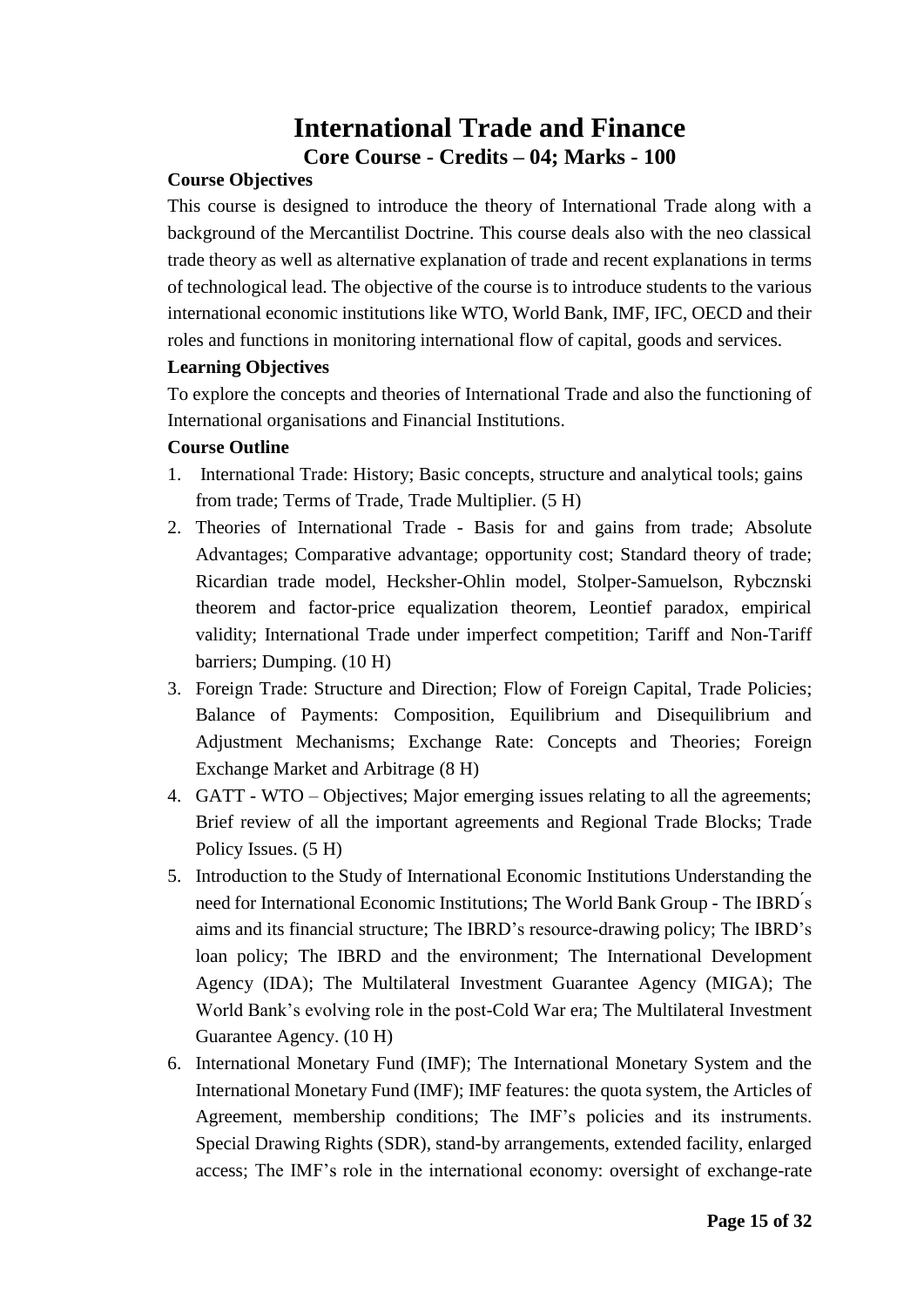### **International Trade and Finance Core Course - Credits – 04; Marks - 100**

### **Course Objectives**

This course is designed to introduce the theory of International Trade along with a background of the Mercantilist Doctrine. This course deals also with the neo classical trade theory as well as alternative explanation of trade and recent explanations in terms of technological lead. The objective of the course is to introduce students to the various international economic institutions like WTO, World Bank, IMF, IFC, OECD and their roles and functions in monitoring international flow of capital, goods and services.

### **Learning Objectives**

To explore the concepts and theories of International Trade and also the functioning of International organisations and Financial Institutions.

### **Course Outline**

- 1. International Trade: History; Basic concepts, structure and analytical tools; gains from trade; Terms of Trade, Trade Multiplier. (5 H)
- 2. Theories of International Trade Basis for and gains from trade; Absolute Advantages; Comparative advantage; opportunity cost; Standard theory of trade; Ricardian trade model, Hecksher-Ohlin model, Stolper-Samuelson, Rybcznski theorem and factor-price equalization theorem, Leontief paradox, empirical validity; International Trade under imperfect competition; Tariff and Non-Tariff barriers; Dumping. (10 H)
- 3. Foreign Trade: Structure and Direction; Flow of Foreign Capital, Trade Policies; Balance of Payments: Composition, Equilibrium and Disequilibrium and Adjustment Mechanisms; Exchange Rate: Concepts and Theories; Foreign Exchange Market and Arbitrage (8 H)
- 4. GATT WTO Objectives; Major emerging issues relating to all the agreements; Brief review of all the important agreements and Regional Trade Blocks; Trade Policy Issues. (5 H)
- 5. Introduction to the Study of International Economic Institutions Understanding the need for International Economic Institutions; The World Bank Group - The IBRD ́s aims and its financial structure; The IBRD's resource-drawing policy; The IBRD's loan policy; The IBRD and the environment; The International Development Agency (IDA); The Multilateral Investment Guarantee Agency (MIGA); The World Bank's evolving role in the post-Cold War era; The Multilateral Investment Guarantee Agency. (10 H)
- 6. International Monetary Fund (IMF); The International Monetary System and the International Monetary Fund (IMF); IMF features: the quota system, the Articles of Agreement, membership conditions; The IMF's policies and its instruments. Special Drawing Rights (SDR), stand-by arrangements, extended facility, enlarged access; The IMF's role in the international economy: oversight of exchange-rate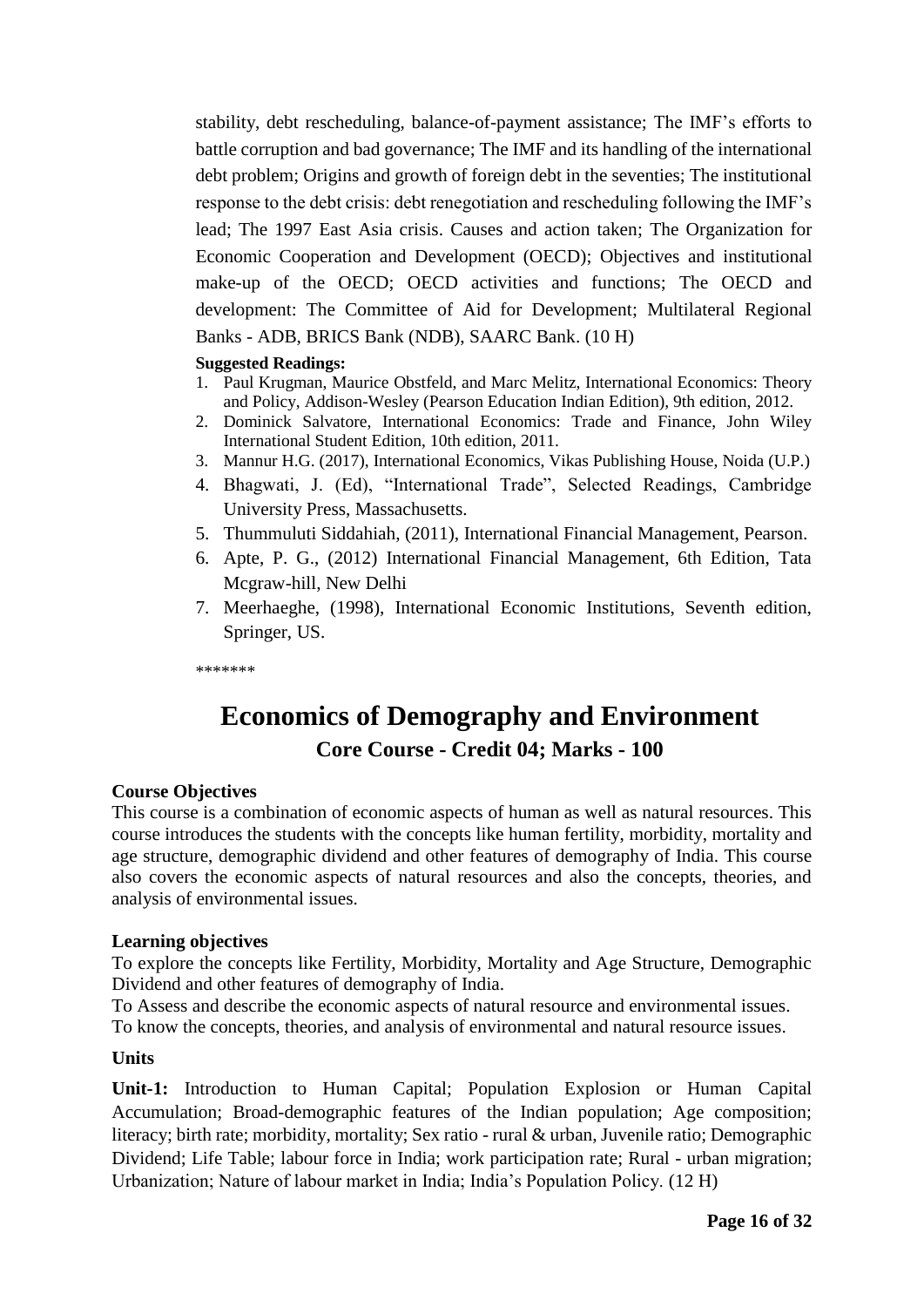stability, debt rescheduling, balance-of-payment assistance; The IMF's efforts to battle corruption and bad governance; The IMF and its handling of the international debt problem; Origins and growth of foreign debt in the seventies; The institutional response to the debt crisis: debt renegotiation and rescheduling following the IMF's lead; The 1997 East Asia crisis. Causes and action taken; The Organization for Economic Cooperation and Development (OECD); Objectives and institutional make-up of the OECD; OECD activities and functions; The OECD and development: The Committee of Aid for Development; Multilateral Regional Banks - ADB, BRICS Bank (NDB), SAARC Bank. (10 H)

### **Suggested Readings:**

- 1. Paul Krugman, Maurice Obstfeld, and Marc Melitz, International Economics: Theory and Policy, Addison-Wesley (Pearson Education Indian Edition), 9th edition, 2012.
- 2. Dominick Salvatore, International Economics: Trade and Finance, John Wiley International Student Edition, 10th edition, 2011.
- 3. Mannur H.G. (2017), International Economics, Vikas Publishing House, Noida (U.P.)
- 4. Bhagwati, J. (Ed), "International Trade", Selected Readings, Cambridge University Press, Massachusetts.
- 5. Thummuluti Siddahiah, (2011), International Financial Management, Pearson.
- 6. Apte, P. G., (2012) International Financial Management, 6th Edition, Tata Mcgraw-hill, New Delhi
- 7. Meerhaeghe, (1998), International Economic Institutions, Seventh edition, Springer, US.

\*\*\*\*\*\*\*

### **Economics of Demography and Environment Core Course - Credit 04; Marks - 100**

### **Course Objectives**

This course is a combination of economic aspects of human as well as natural resources. This course introduces the students with the concepts like human fertility, morbidity, mortality and age structure, demographic dividend and other features of demography of India. This course also covers the economic aspects of natural resources and also the concepts, theories, and analysis of environmental issues.

### **Learning objectives**

To explore the concepts like Fertility, Morbidity, Mortality and Age Structure, Demographic Dividend and other features of demography of India.

To Assess and describe the economic aspects of natural resource and environmental issues.

To know the concepts, theories, and analysis of environmental and natural resource issues.

### **Units**

**Unit-1:** Introduction to Human Capital; Population Explosion or Human Capital Accumulation; Broad-demographic features of the Indian population; Age composition; literacy; birth rate; morbidity, mortality; Sex ratio - rural & urban, Juvenile ratio; Demographic Dividend; Life Table; labour force in India; work participation rate; Rural - urban migration; Urbanization; Nature of labour market in India; India's Population Policy. (12 H)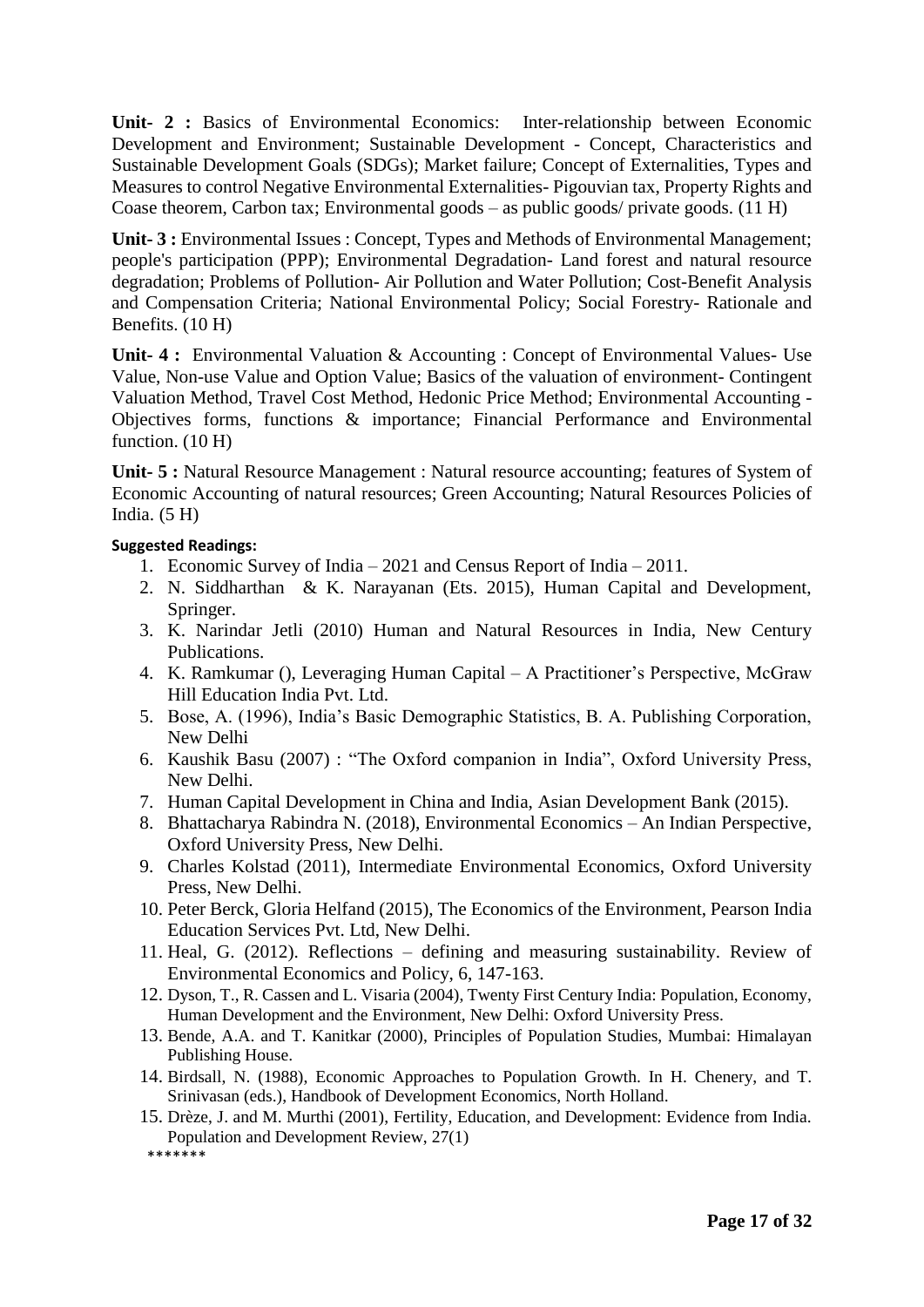**Unit- 2 :** Basics of Environmental Economics: Inter-relationship between Economic Development and Environment; Sustainable Development - Concept, Characteristics and Sustainable Development Goals (SDGs); Market failure; Concept of Externalities, Types and Measures to control Negative Environmental Externalities- Pigouvian tax, Property Rights and Coase theorem, Carbon tax; Environmental goods – as public goods/ private goods. (11 H)

**Unit- 3 :** Environmental Issues : Concept, Types and Methods of Environmental Management; people's participation (PPP); Environmental Degradation- Land forest and natural resource degradation; Problems of Pollution- Air Pollution and Water Pollution; Cost-Benefit Analysis and Compensation Criteria; National Environmental Policy; Social Forestry- Rationale and Benefits. (10 H)

**Unit- 4 :** Environmental Valuation & Accounting : Concept of Environmental Values- Use Value, Non-use Value and Option Value; Basics of the valuation of environment- Contingent Valuation Method, Travel Cost Method, Hedonic Price Method; Environmental Accounting - Objectives forms, functions & importance; Financial Performance and Environmental function.  $(10 H)$ 

**Unit- 5 :** Natural Resource Management : Natural resource accounting; features of System of Economic Accounting of natural resources; Green Accounting; Natural Resources Policies of India.  $(5 H)$ 

### **Suggested Readings:**

- 1. Economic Survey of India 2021 and Census Report of India 2011.
- 2. N. Siddharthan & K. Narayanan (Ets. 2015), Human Capital and Development, Springer.
- 3. K. Narindar Jetli (2010) Human and Natural Resources in India, New Century Publications.
- 4. K. Ramkumar (), Leveraging Human Capital A Practitioner's Perspective, McGraw Hill Education India Pvt. Ltd.
- 5. Bose, A. (1996), India's Basic Demographic Statistics, B. A. Publishing Corporation, New Delhi
- 6. Kaushik Basu (2007) : "The Oxford companion in India", Oxford University Press, New Delhi.
- 7. Human Capital Development in China and India, Asian Development Bank (2015).
- 8. Bhattacharya Rabindra N. (2018), Environmental Economics An Indian Perspective, Oxford University Press, New Delhi.
- 9. Charles Kolstad (2011), Intermediate Environmental Economics, Oxford University Press, New Delhi.
- 10. Peter Berck, Gloria Helfand (2015), The Economics of the Environment, Pearson India Education Services Pvt. Ltd, New Delhi.
- 11. Heal, G. (2012). Reflections defining and measuring sustainability. Review of Environmental Economics and Policy, 6, 147-163.
- 12. Dyson, T., R. Cassen and L. Visaria (2004), Twenty First Century India: Population, Economy, Human Development and the Environment, New Delhi: Oxford University Press.
- 13. Bende, A.A. and T. Kanitkar (2000), Principles of Population Studies, Mumbai: Himalayan Publishing House.
- 14. Birdsall, N. (1988), Economic Approaches to Population Growth. In H. Chenery, and T. Srinivasan (eds.), Handbook of Development Economics, North Holland.
- 15. Drèze, J. and M. Murthi (2001), Fertility, Education, and Development: Evidence from India. Population and Development Review, 27(1) \*\*\*\*\*\*\*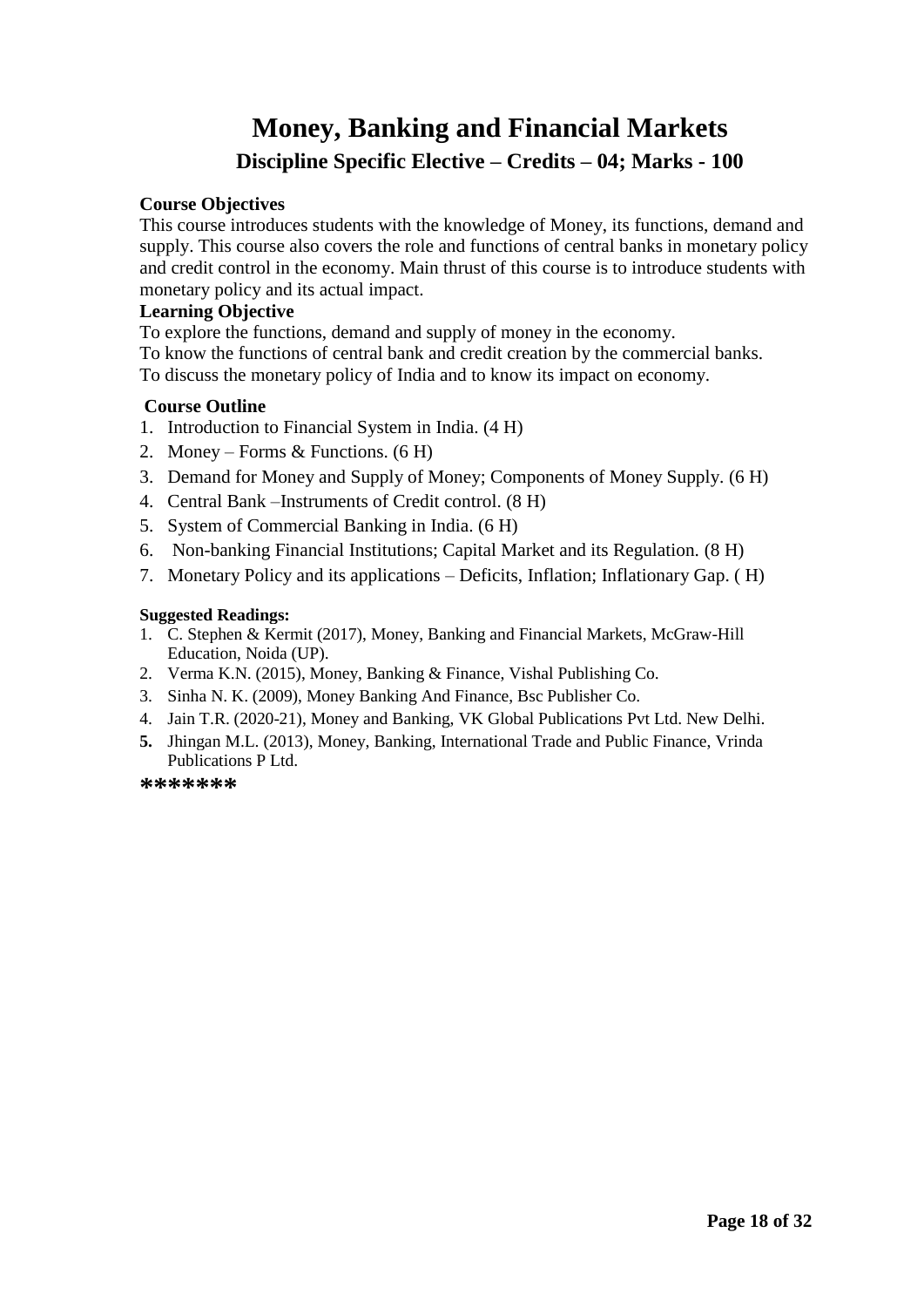### **Money, Banking and Financial Markets Discipline Specific Elective – Credits – 04; Marks - 100**

### **Course Objectives**

This course introduces students with the knowledge of Money, its functions, demand and supply. This course also covers the role and functions of central banks in monetary policy and credit control in the economy. Main thrust of this course is to introduce students with monetary policy and its actual impact.

### **Learning Objective**

To explore the functions, demand and supply of money in the economy.

To know the functions of central bank and credit creation by the commercial banks. To discuss the monetary policy of India and to know its impact on economy.

### **Course Outline**

- 1. Introduction to Financial System in India. (4 H)
- 2. Money Forms & Functions. (6 H)
- 3. Demand for Money and Supply of Money; Components of Money Supply. (6 H)
- 4. Central Bank –Instruments of Credit control. (8 H)
- 5. System of Commercial Banking in India. (6 H)
- 6. Non-banking Financial Institutions; Capital Market and its Regulation. (8 H)
- 7. Monetary Policy and its applications Deficits, Inflation; Inflationary Gap. ( H)

### **Suggested Readings:**

- 1. C. Stephen & Kermit (2017), Money, Banking and Financial Markets, McGraw-Hill Education, Noida (UP).
- 2. Verma K.N. (2015), Money, Banking & Finance, Vishal Publishing Co.
- 3. Sinha N. K. (2009), Money Banking And Finance, Bsc Publisher Co.
- 4. Jain T.R. (2020-21), Money and Banking, VK Global Publications Pvt Ltd. New Delhi.
- **5.** Jhingan M.L. (2013), Money, Banking, International Trade and Public Finance, Vrinda Publications P Ltd.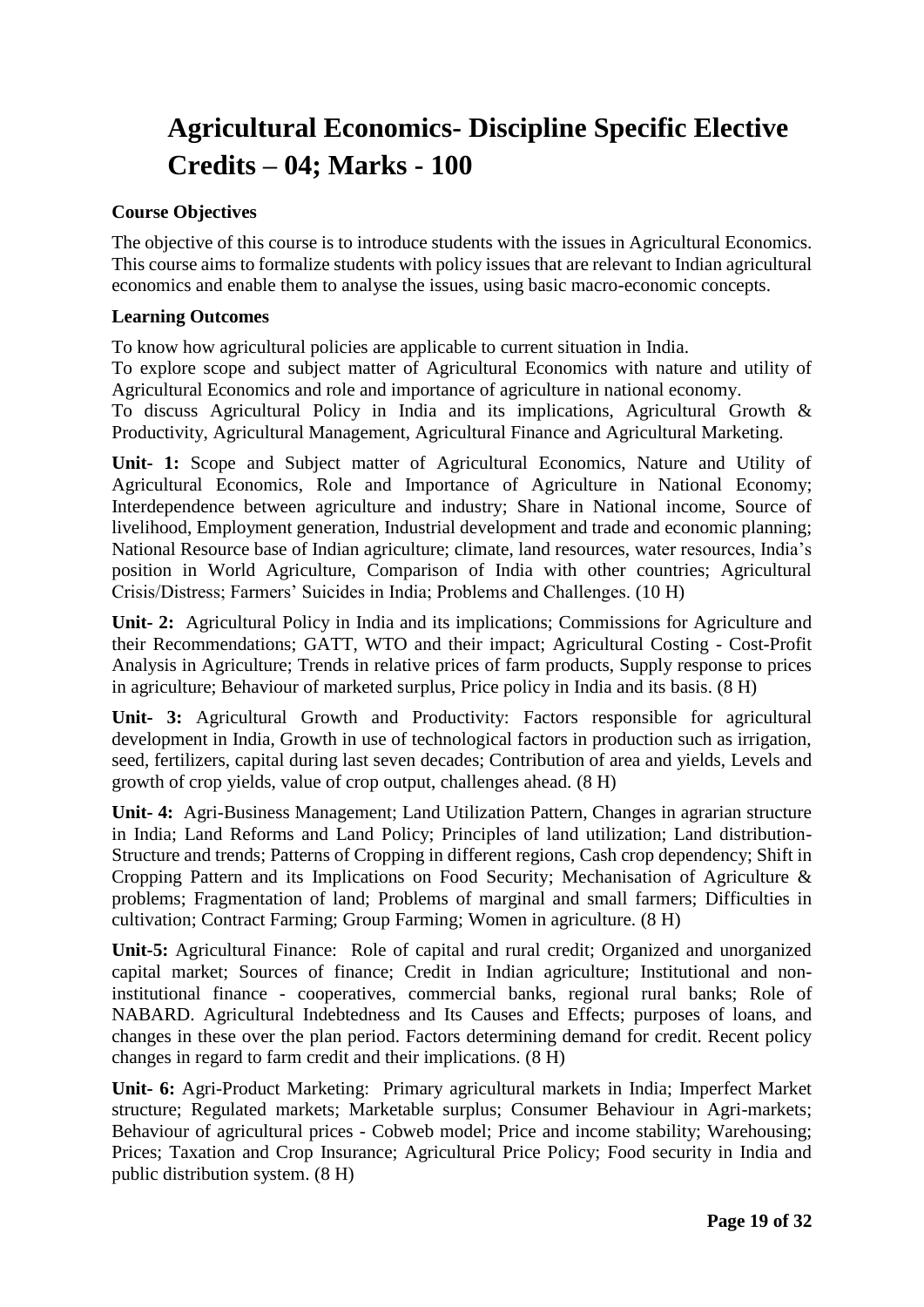### **Agricultural Economics- Discipline Specific Elective Credits – 04; Marks - 100**

### **Course Objectives**

The objective of this course is to introduce students with the issues in Agricultural Economics. This course aims to formalize students with policy issues that are relevant to Indian agricultural economics and enable them to analyse the issues, using basic macro-economic concepts.

### **Learning Outcomes**

To know how agricultural policies are applicable to current situation in India.

To explore scope and subject matter of Agricultural Economics with nature and utility of Agricultural Economics and role and importance of agriculture in national economy.

To discuss Agricultural Policy in India and its implications, Agricultural Growth & Productivity, Agricultural Management, Agricultural Finance and Agricultural Marketing.

**Unit- 1:** Scope and Subject matter of Agricultural Economics, Nature and Utility of Agricultural Economics, Role and Importance of Agriculture in National Economy; Interdependence between agriculture and industry; Share in National income, Source of livelihood, Employment generation, Industrial development and trade and economic planning; National Resource base of Indian agriculture; climate, land resources, water resources, India's position in World Agriculture, Comparison of India with other countries; Agricultural Crisis/Distress; Farmers' Suicides in India; Problems and Challenges. (10 H)

**Unit- 2:** Agricultural Policy in India and its implications; Commissions for Agriculture and their Recommendations; GATT, WTO and their impact; Agricultural Costing - Cost-Profit Analysis in Agriculture; Trends in relative prices of farm products, Supply response to prices in agriculture; Behaviour of marketed surplus, Price policy in India and its basis. (8 H)

**Unit- 3:** Agricultural Growth and Productivity: Factors responsible for agricultural development in India, Growth in use of technological factors in production such as irrigation, seed, fertilizers, capital during last seven decades; Contribution of area and yields, Levels and growth of crop yields, value of crop output, challenges ahead. (8 H)

**Unit- 4:** Agri-Business Management; Land Utilization Pattern, Changes in agrarian structure in India; Land Reforms and Land Policy; Principles of land utilization; Land distribution-Structure and trends; Patterns of Cropping in different regions, Cash crop dependency; Shift in Cropping Pattern and its Implications on Food Security; Mechanisation of Agriculture & problems; Fragmentation of land; Problems of marginal and small farmers; Difficulties in cultivation; Contract Farming; Group Farming; Women in agriculture. (8 H)

**Unit-5:** Agricultural Finance: Role of capital and rural credit; Organized and unorganized capital market; Sources of finance; Credit in Indian agriculture; Institutional and noninstitutional finance - cooperatives, commercial banks, regional rural banks; Role of NABARD. Agricultural Indebtedness and Its Causes and Effects; purposes of loans, and changes in these over the plan period. Factors determining demand for credit. Recent policy changes in regard to farm credit and their implications. (8 H)

**Unit- 6:** Agri-Product Marketing: Primary agricultural markets in India; Imperfect Market structure; Regulated markets; Marketable surplus; Consumer Behaviour in Agri-markets; Behaviour of agricultural prices - Cobweb model; Price and income stability; Warehousing; Prices; Taxation and Crop Insurance; Agricultural Price Policy; Food security in India and public distribution system. (8 H)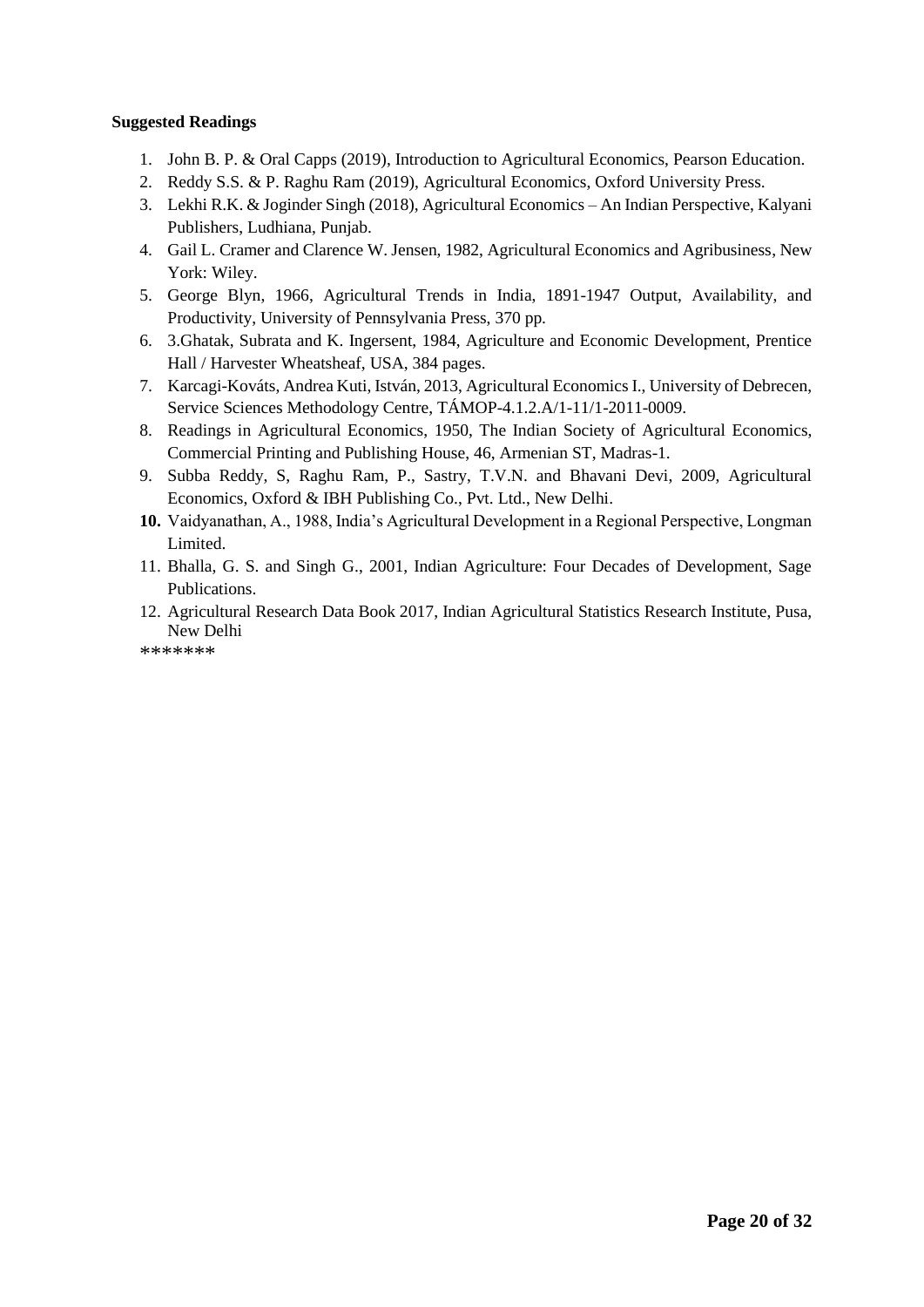#### **Suggested Readings**

- 1. John B. P. & Oral Capps (2019), Introduction to Agricultural Economics, Pearson Education.
- 2. Reddy S.S. & P. Raghu Ram (2019), Agricultural Economics, Oxford University Press.
- 3. Lekhi R.K. & Joginder Singh (2018), Agricultural Economics An Indian Perspective, Kalyani Publishers, Ludhiana, Punjab.
- 4. Gail L. Cramer and Clarence W. Jensen, 1982, Agricultural Economics and Agribusiness, New York: Wiley.
- 5. George Blyn, 1966, Agricultural Trends in India, 1891-1947 Output, Availability, and Productivity, University of Pennsylvania Press, 370 pp.
- 6. 3.Ghatak, Subrata and K. Ingersent, 1984, Agriculture and Economic Development, Prentice Hall / Harvester Wheatsheaf, USA, 384 pages.
- 7. Karcagi-Kováts, Andrea Kuti, István, 2013, Agricultural Economics I., University of Debrecen, Service Sciences Methodology Centre, TÁMOP-4.1.2.A/1-11/1-2011-0009.
- 8. Readings in Agricultural Economics, 1950, The Indian Society of Agricultural Economics, Commercial Printing and Publishing House, 46, Armenian ST, Madras-1.
- 9. Subba Reddy, S, Raghu Ram, P., Sastry, T.V.N. and Bhavani Devi, 2009, Agricultural Economics, Oxford & IBH Publishing Co., Pvt. Ltd., New Delhi.
- **10.** Vaidyanathan, A., 1988, India's Agricultural Development in a Regional Perspective, Longman Limited.
- 11. Bhalla, G. S. and Singh G., 2001, Indian Agriculture: Four Decades of Development, Sage Publications.
- 12. Agricultural Research Data Book 2017, Indian Agricultural Statistics Research Institute, Pusa, New Delhi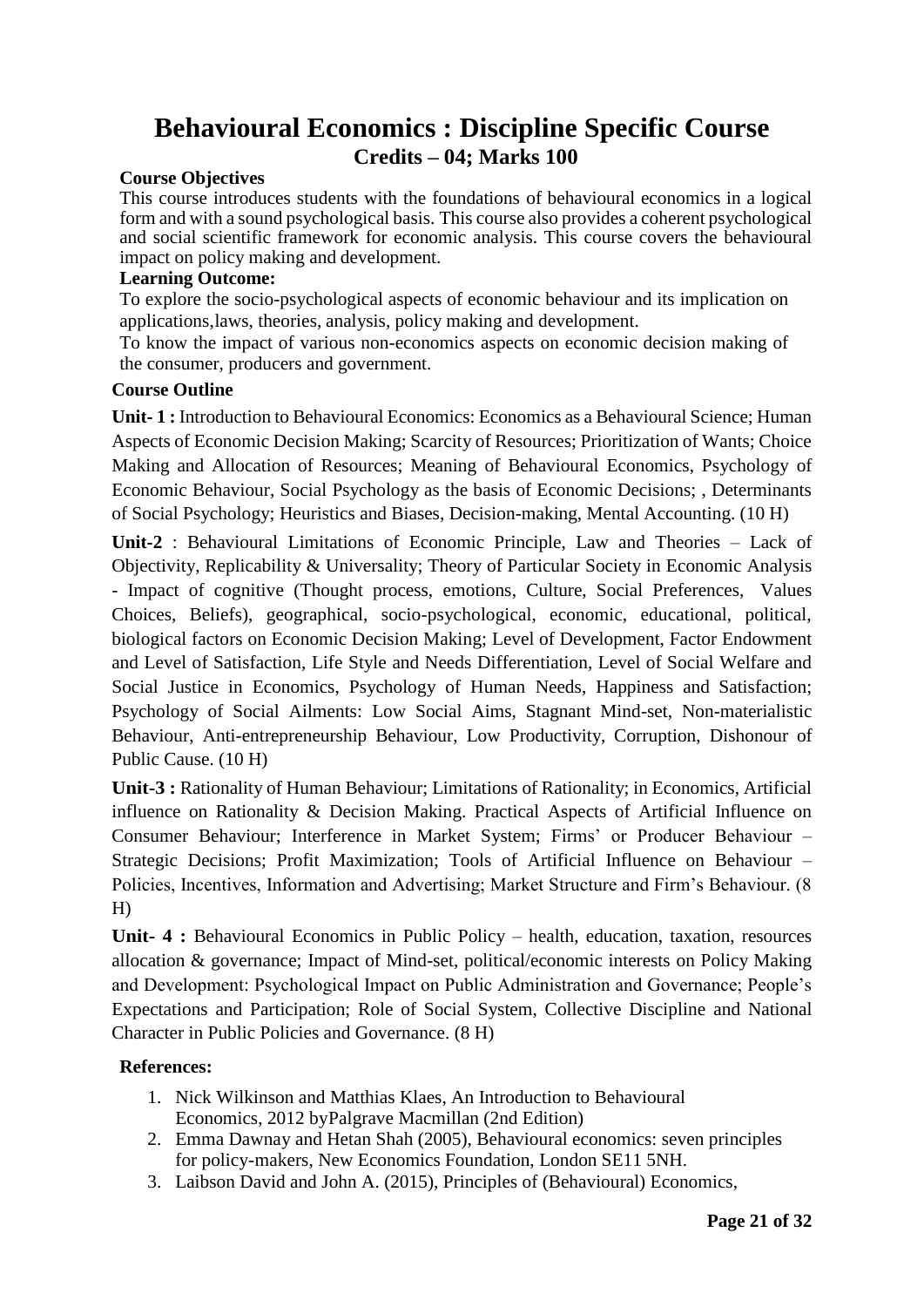### **Behavioural Economics : Discipline Specific Course Credits – 04; Marks 100**

### **Course Objectives**

This course introduces students with the foundations of behavioural economics in a logical form and with a sound psychological basis. This course also provides a coherent psychological and social scientific framework for economic analysis. This course covers the behavioural impact on policy making and development.

### **Learning Outcome:**

To explore the socio-psychological aspects of economic behaviour and its implication on applications,laws, theories, analysis, policy making and development.

To know the impact of various non-economics aspects on economic decision making of the consumer, producers and government.

### **Course Outline**

**Unit- 1 :** Introduction to Behavioural Economics: Economics as a Behavioural Science; Human Aspects of Economic Decision Making; Scarcity of Resources; Prioritization of Wants; Choice Making and Allocation of Resources; Meaning of Behavioural Economics, Psychology of Economic Behaviour, Social Psychology as the basis of Economic Decisions; , Determinants of Social Psychology; Heuristics and Biases, Decision-making, Mental Accounting. (10 H)

**Unit-2** : Behavioural Limitations of Economic Principle, Law and Theories – Lack of Objectivity, Replicability & Universality; Theory of Particular Society in Economic Analysis - Impact of cognitive (Thought process, emotions, Culture, Social Preferences, Values Choices, Beliefs), geographical, socio-psychological, economic, educational, political, biological factors on Economic Decision Making; Level of Development, Factor Endowment and Level of Satisfaction, Life Style and Needs Differentiation, Level of Social Welfare and Social Justice in Economics, Psychology of Human Needs, Happiness and Satisfaction; Psychology of Social Ailments: Low Social Aims, Stagnant Mind-set, Non-materialistic Behaviour, Anti-entrepreneurship Behaviour, Low Productivity, Corruption, Dishonour of Public Cause. (10 H)

**Unit-3 :** Rationality of Human Behaviour; Limitations of Rationality; in Economics, Artificial influence on Rationality & Decision Making. Practical Aspects of Artificial Influence on Consumer Behaviour; Interference in Market System; Firms' or Producer Behaviour – Strategic Decisions; Profit Maximization; Tools of Artificial Influence on Behaviour – Policies, Incentives, Information and Advertising; Market Structure and Firm's Behaviour. (8 H)

**Unit- 4 :** Behavioural Economics in Public Policy – health, education, taxation, resources allocation & governance; Impact of Mind-set, political/economic interests on Policy Making and Development: Psychological Impact on Public Administration and Governance; People's Expectations and Participation; Role of Social System, Collective Discipline and National Character in Public Policies and Governance. (8 H)

### **References:**

- 1. Nick Wilkinson and Matthias Klaes, An Introduction to Behavioural Economics, 2012 byPalgrave Macmillan (2nd Edition)
- 2. Emma Dawnay and Hetan Shah (2005), Behavioural economics: seven principles for policy-makers, New Economics Foundation, London SE11 5NH.
- 3. Laibson David and John A. (2015), Principles of (Behavioural) Economics,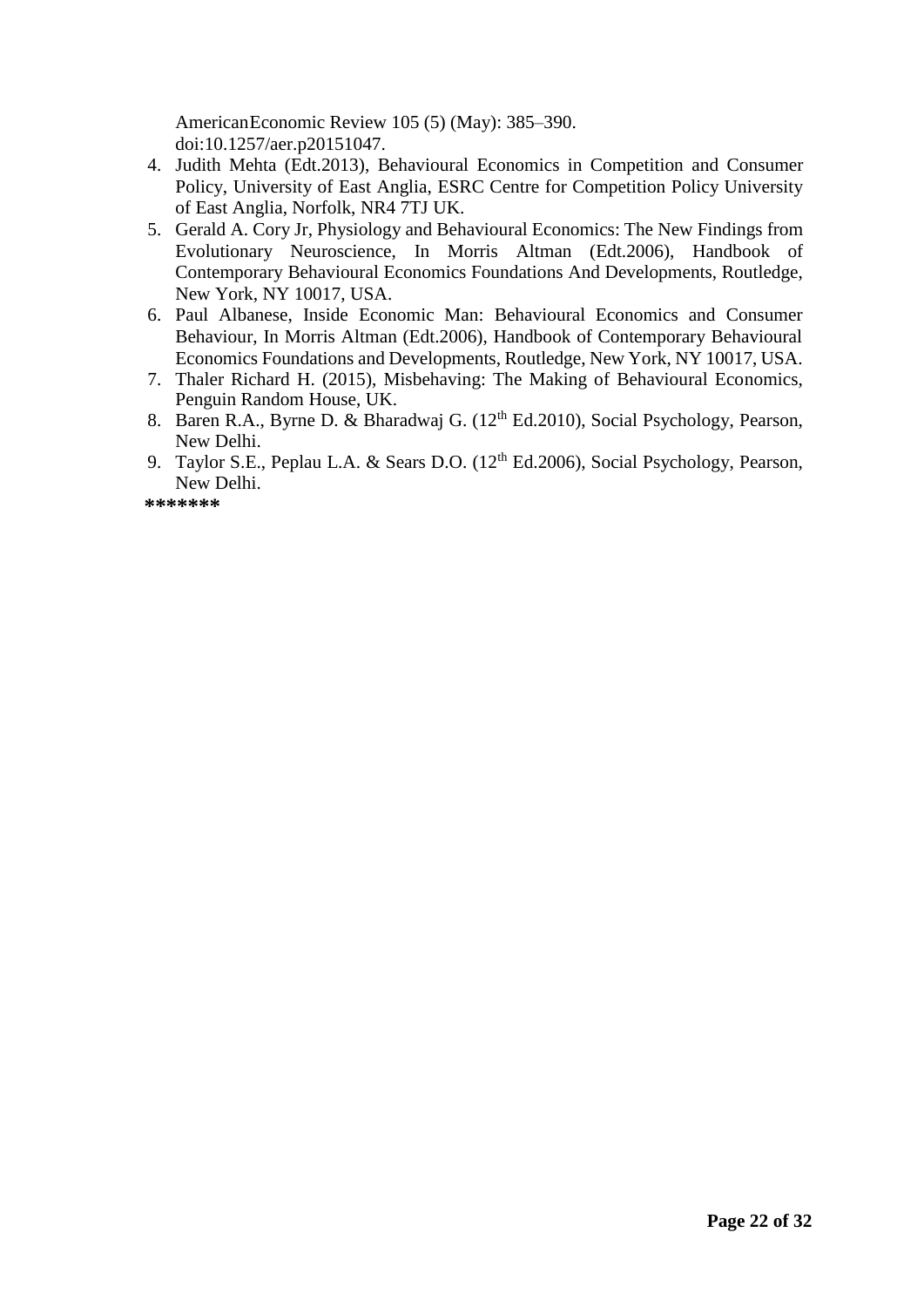AmericanEconomic Review 105 (5) (May): 385–390. doi:10.1257/aer.p20151047.

- 4. Judith Mehta (Edt.2013), Behavioural Economics in Competition and Consumer Policy, University of East Anglia, ESRC Centre for Competition Policy University of East Anglia, Norfolk, NR4 7TJ UK.
- 5. Gerald A. Cory Jr, Physiology and Behavioural Economics: The New Findings from Evolutionary Neuroscience, In Morris Altman (Edt.2006), Handbook of Contemporary Behavioural Economics Foundations And Developments, Routledge, New York, NY 10017, USA.
- 6. Paul Albanese, Inside Economic Man: Behavioural Economics and Consumer Behaviour, In Morris Altman (Edt.2006), Handbook of Contemporary Behavioural Economics Foundations and Developments, Routledge, New York, NY 10017, USA.
- 7. Thaler Richard H. (2015), Misbehaving: The Making of Behavioural Economics, Penguin Random House, UK.
- 8. Baren R.A., Byrne D. & Bharadwaj G. (12<sup>th</sup> Ed.2010), Social Psychology, Pearson, New Delhi.
- 9. Taylor S.E., Peplau L.A. & Sears D.O. (12<sup>th</sup> Ed.2006), Social Psychology, Pearson, New Delhi.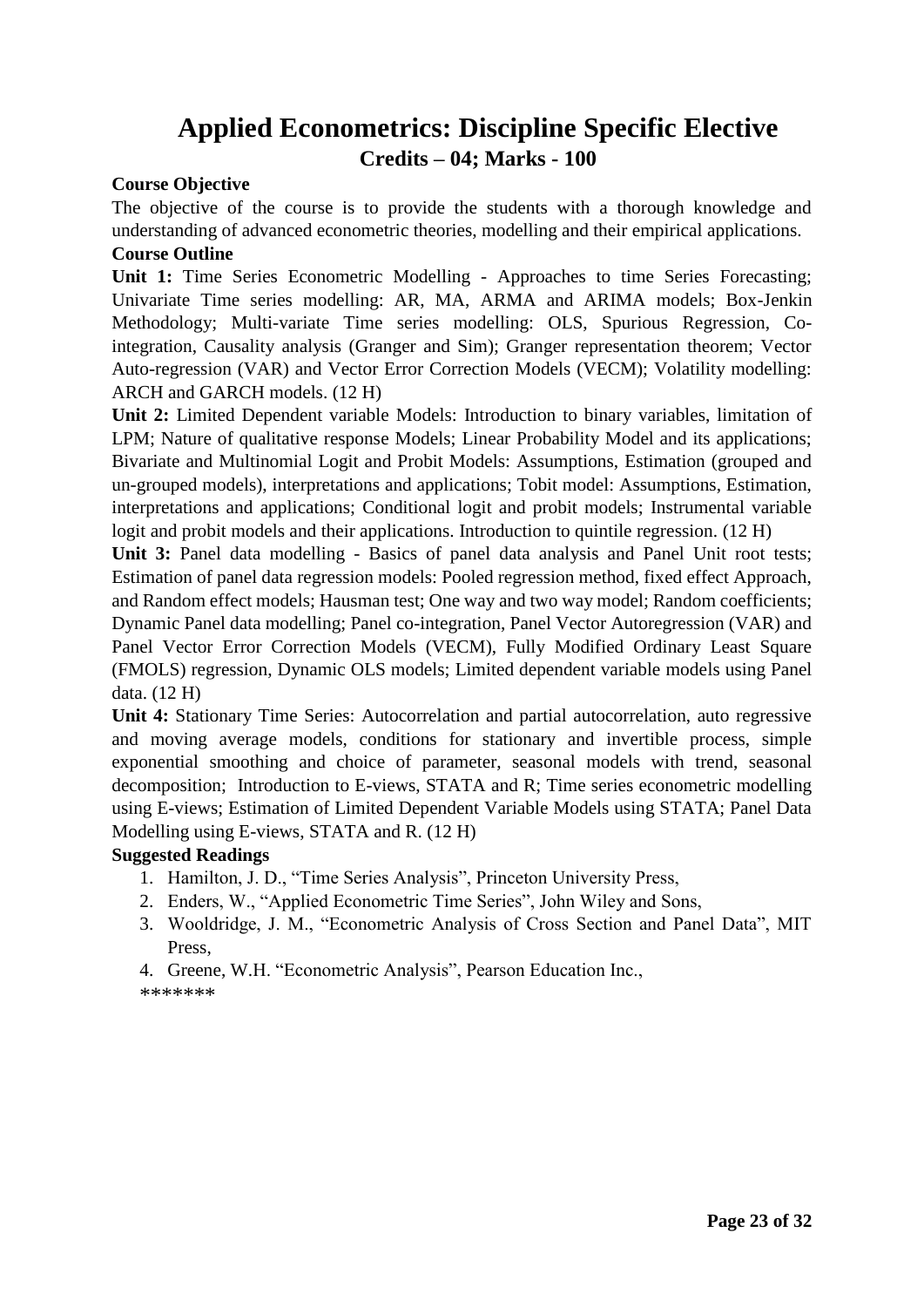### **Applied Econometrics: Discipline Specific Elective Credits – 04; Marks - 100**

### **Course Objective**

The objective of the course is to provide the students with a thorough knowledge and understanding of advanced econometric theories, modelling and their empirical applications. **Course Outline** 

**Unit 1:** Time Series Econometric Modelling - Approaches to time Series Forecasting; Univariate Time series modelling: AR, MA, ARMA and ARIMA models; Box-Jenkin Methodology; Multi-variate Time series modelling: OLS, Spurious Regression, Cointegration, Causality analysis (Granger and Sim); Granger representation theorem; Vector Auto-regression (VAR) and Vector Error Correction Models (VECM); Volatility modelling: ARCH and GARCH models. (12 H)

**Unit 2:** Limited Dependent variable Models: Introduction to binary variables, limitation of LPM; Nature of qualitative response Models; Linear Probability Model and its applications; Bivariate and Multinomial Logit and Probit Models: Assumptions, Estimation (grouped and un-grouped models), interpretations and applications; Tobit model: Assumptions, Estimation, interpretations and applications; Conditional logit and probit models; Instrumental variable logit and probit models and their applications. Introduction to quintile regression. (12 H)

**Unit 3:** Panel data modelling - Basics of panel data analysis and Panel Unit root tests; Estimation of panel data regression models: Pooled regression method, fixed effect Approach, and Random effect models; Hausman test; One way and two way model; Random coefficients; Dynamic Panel data modelling; Panel co-integration, Panel Vector Autoregression (VAR) and Panel Vector Error Correction Models (VECM), Fully Modified Ordinary Least Square (FMOLS) regression, Dynamic OLS models; Limited dependent variable models using Panel data. (12 H)

**Unit 4:** Stationary Time Series: Autocorrelation and partial autocorrelation, auto regressive and moving average models, conditions for stationary and invertible process, simple exponential smoothing and choice of parameter, seasonal models with trend, seasonal decomposition; Introduction to E-views, STATA and R; Time series econometric modelling using E-views; Estimation of Limited Dependent Variable Models using STATA; Panel Data Modelling using E-views, STATA and R. (12 H)

### **Suggested Readings**

- 1. Hamilton, J. D., "Time Series Analysis", Princeton University Press,
- 2. Enders, W., "Applied Econometric Time Series", John Wiley and Sons,
- 3. Wooldridge, J. M., "Econometric Analysis of Cross Section and Panel Data", MIT Press,

4. Greene, W.H. "Econometric Analysis", Pearson Education Inc.,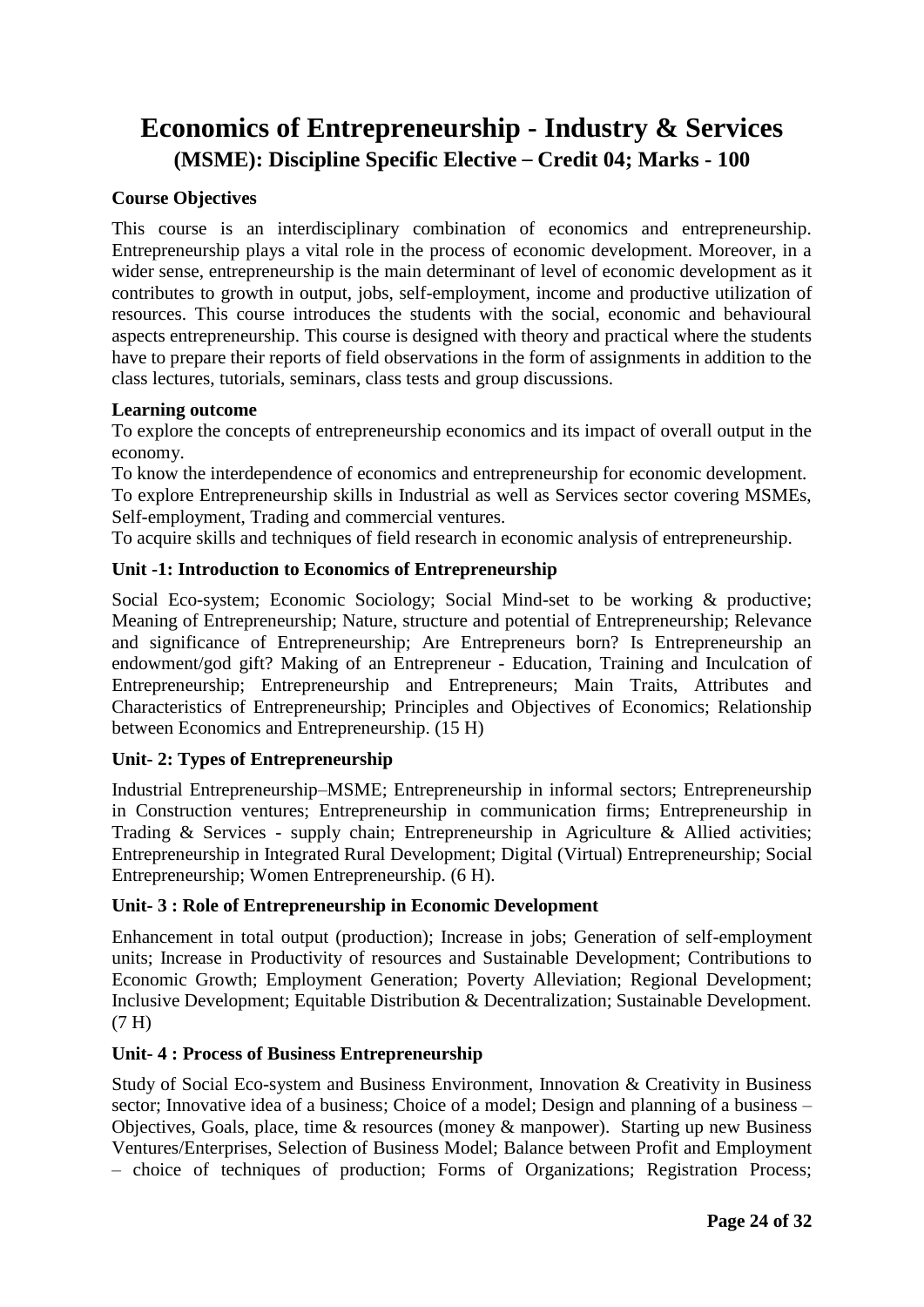### **Economics of Entrepreneurship - Industry & Services (MSME): Discipline Specific Elective** – **Credit 04; Marks - 100**

### **Course Objectives**

This course is an interdisciplinary combination of economics and entrepreneurship. Entrepreneurship plays a vital role in the process of economic development. Moreover, in a wider sense, entrepreneurship is the main determinant of level of economic development as it contributes to growth in output, jobs, self-employment, income and productive utilization of resources. This course introduces the students with the social, economic and behavioural aspects entrepreneurship. This course is designed with theory and practical where the students have to prepare their reports of field observations in the form of assignments in addition to the class lectures, tutorials, seminars, class tests and group discussions.

### **Learning outcome**

To explore the concepts of entrepreneurship economics and its impact of overall output in the economy.

To know the interdependence of economics and entrepreneurship for economic development. To explore Entrepreneurship skills in Industrial as well as Services sector covering MSMEs, Self-employment, Trading and commercial ventures.

To acquire skills and techniques of field research in economic analysis of entrepreneurship.

### **Unit -1: Introduction to Economics of Entrepreneurship**

Social Eco-system; Economic Sociology; Social Mind-set to be working & productive; Meaning of Entrepreneurship; Nature, structure and potential of Entrepreneurship; Relevance and significance of Entrepreneurship; Are Entrepreneurs born? Is Entrepreneurship an endowment/god gift? Making of an Entrepreneur - Education, Training and Inculcation of Entrepreneurship; Entrepreneurship and Entrepreneurs; Main Traits, Attributes and Characteristics of Entrepreneurship; Principles and Objectives of Economics; Relationship between Economics and Entrepreneurship. (15 H)

### **Unit- 2: Types of Entrepreneurship**

Industrial Entrepreneurship–MSME; Entrepreneurship in informal sectors; Entrepreneurship in Construction ventures; Entrepreneurship in communication firms; Entrepreneurship in Trading & Services - supply chain; Entrepreneurship in Agriculture & Allied activities; Entrepreneurship in Integrated Rural Development; Digital (Virtual) Entrepreneurship; Social Entrepreneurship; Women Entrepreneurship. (6 H).

### **Unit- 3 : Role of Entrepreneurship in Economic Development**

Enhancement in total output (production); Increase in jobs; Generation of self-employment units; Increase in Productivity of resources and Sustainable Development; Contributions to Economic Growth; Employment Generation; Poverty Alleviation; Regional Development; Inclusive Development; Equitable Distribution & Decentralization; Sustainable Development. (7 H)

### **Unit- 4 : Process of Business Entrepreneurship**

Study of Social Eco-system and Business Environment, Innovation & Creativity in Business sector; Innovative idea of a business; Choice of a model; Design and planning of a business – Objectives, Goals, place, time & resources (money & manpower). Starting up new Business Ventures/Enterprises, Selection of Business Model; Balance between Profit and Employment – choice of techniques of production; Forms of Organizations; Registration Process;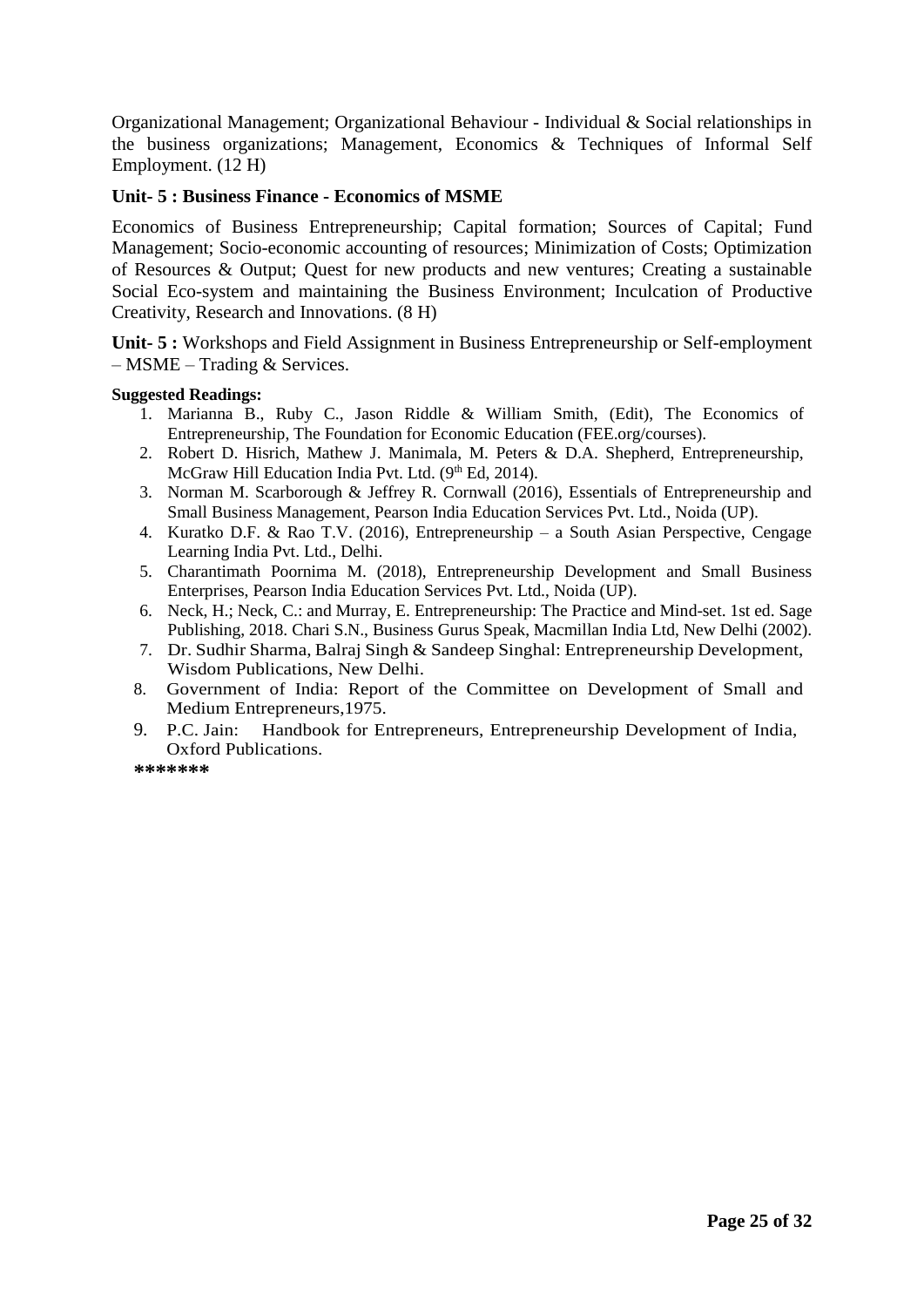Organizational Management; Organizational Behaviour - Individual & Social relationships in the business organizations; Management, Economics & Techniques of Informal Self Employment. (12 H)

### **Unit- 5 : Business Finance - Economics of MSME**

Economics of Business Entrepreneurship; Capital formation; Sources of Capital; Fund Management; Socio-economic accounting of resources; Minimization of Costs; Optimization of Resources & Output; Quest for new products and new ventures; Creating a sustainable Social Eco-system and maintaining the Business Environment; Inculcation of Productive Creativity, Research and Innovations. (8 H)

**Unit- 5 :** Workshops and Field Assignment in Business Entrepreneurship or Self-employment – MSME – Trading & Services.

#### **Suggested Readings:**

- 1. Marianna B., Ruby C., Jason Riddle & William Smith, (Edit), The Economics of Entrepreneurship, The Foundation for Economic Education (FEE.org/courses).
- 2. Robert D. Hisrich, Mathew J. Manimala, M. Peters & D.A. Shepherd, Entrepreneurship, McGraw Hill Education India Pvt. Ltd. (9<sup>th</sup> Ed, 2014).
- 3. Norman M. Scarborough & Jeffrey R. Cornwall (2016), Essentials of Entrepreneurship and Small Business Management, Pearson India Education Services Pvt. Ltd., Noida (UP).
- 4. Kuratko D.F. & Rao T.V. (2016), Entrepreneurship a South Asian Perspective, Cengage Learning India Pvt. Ltd., Delhi.
- 5. Charantimath Poornima M. (2018), Entrepreneurship Development and Small Business Enterprises, Pearson India Education Services Pvt. Ltd., Noida (UP).
- 6. Neck, H.; Neck, C.: and Murray, E. Entrepreneurship: The Practice and Mind-set. 1st ed. Sage Publishing, 2018. Chari S.N., Business Gurus Speak, Macmillan India Ltd, New Delhi (2002).
- 7. Dr. Sudhir Sharma, Balraj Singh & Sandeep Singhal: Entrepreneurship Development, Wisdom Publications, New Delhi.
- 8. Government of India: Report of the Committee on Development of Small and Medium Entrepreneurs,1975.
- 9. P.C. Jain: Handbook for Entrepreneurs, Entrepreneurship Development of India, Oxford Publications.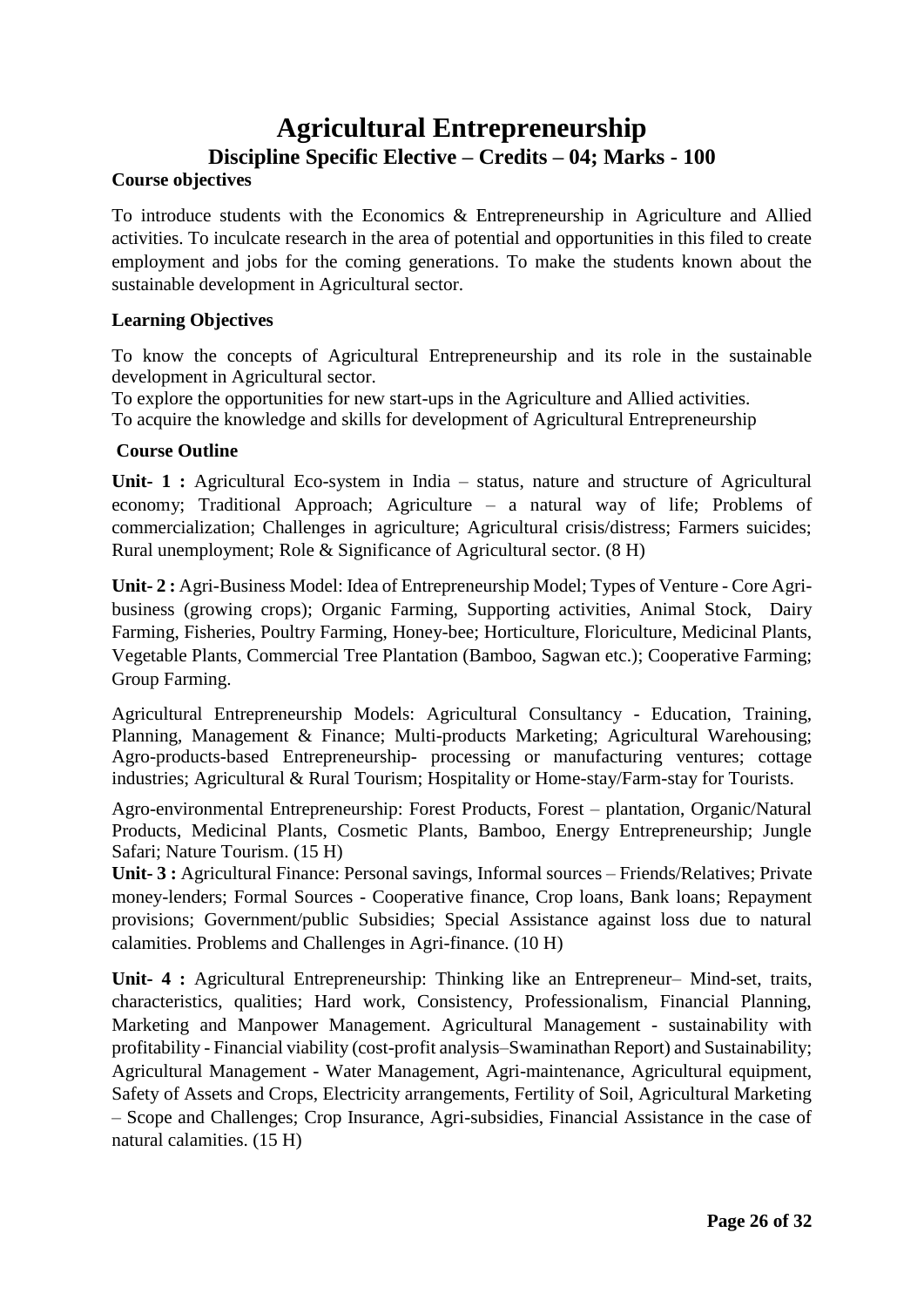### **Agricultural Entrepreneurship Discipline Specific Elective – Credits – 04; Marks - 100**

### **Course objectives**

To introduce students with the Economics & Entrepreneurship in Agriculture and Allied activities. To inculcate research in the area of potential and opportunities in this filed to create employment and jobs for the coming generations. To make the students known about the sustainable development in Agricultural sector.

### **Learning Objectives**

To know the concepts of Agricultural Entrepreneurship and its role in the sustainable development in Agricultural sector.

To explore the opportunities for new start-ups in the Agriculture and Allied activities. To acquire the knowledge and skills for development of Agricultural Entrepreneurship

### **Course Outline**

**Unit- 1 :** Agricultural Eco-system in India – status, nature and structure of Agricultural economy; Traditional Approach; Agriculture – a natural way of life; Problems of commercialization; Challenges in agriculture; Agricultural crisis/distress; Farmers suicides; Rural unemployment; Role & Significance of Agricultural sector. (8 H)

**Unit- 2 :** Agri-Business Model: Idea of Entrepreneurship Model; Types of Venture - Core Agribusiness (growing crops); Organic Farming, Supporting activities, Animal Stock, Dairy Farming, Fisheries, Poultry Farming, Honey-bee; Horticulture, Floriculture, Medicinal Plants, Vegetable Plants, Commercial Tree Plantation (Bamboo, Sagwan etc.); Cooperative Farming; Group Farming.

Agricultural Entrepreneurship Models: Agricultural Consultancy - Education, Training, Planning, Management & Finance; Multi-products Marketing; Agricultural Warehousing; Agro-products-based Entrepreneurship- processing or manufacturing ventures; cottage industries; Agricultural & Rural Tourism; Hospitality or Home-stay/Farm-stay for Tourists.

Agro-environmental Entrepreneurship: Forest Products, Forest – plantation, Organic/Natural Products, Medicinal Plants, Cosmetic Plants, Bamboo, Energy Entrepreneurship; Jungle Safari; Nature Tourism. (15 H)

**Unit- 3 :** Agricultural Finance: Personal savings, Informal sources – Friends/Relatives; Private money-lenders; Formal Sources - Cooperative finance, Crop loans, Bank loans; Repayment provisions; Government/public Subsidies; Special Assistance against loss due to natural calamities. Problems and Challenges in Agri-finance. (10 H)

**Unit- 4 :** Agricultural Entrepreneurship: Thinking like an Entrepreneur– Mind-set, traits, characteristics, qualities; Hard work, Consistency, Professionalism, Financial Planning, Marketing and Manpower Management. Agricultural Management - sustainability with profitability - Financial viability (cost-profit analysis–Swaminathan Report) and Sustainability; Agricultural Management - Water Management, Agri-maintenance, Agricultural equipment, Safety of Assets and Crops, Electricity arrangements, Fertility of Soil, Agricultural Marketing – Scope and Challenges; Crop Insurance, Agri-subsidies, Financial Assistance in the case of natural calamities. (15 H)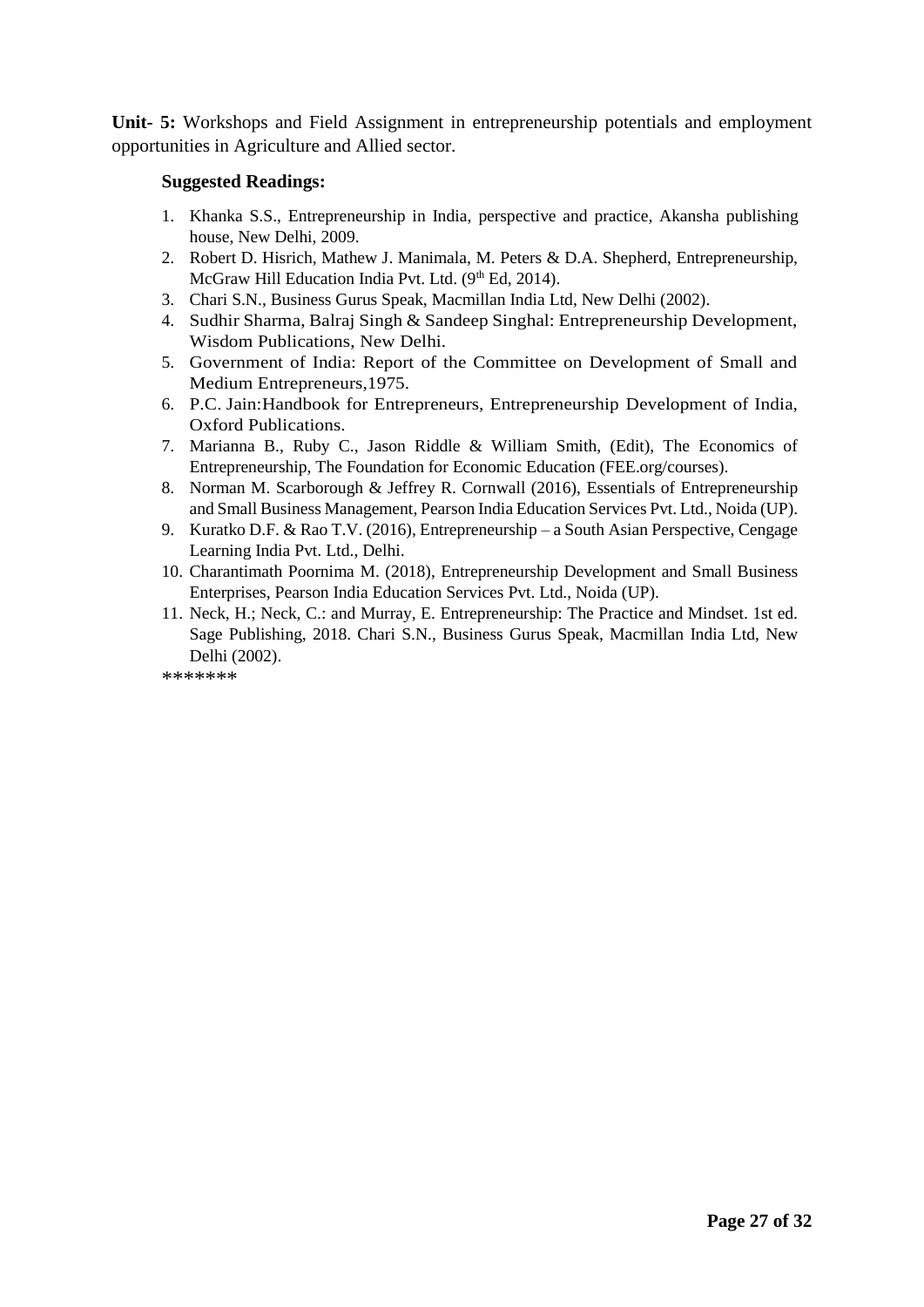**Unit- 5:** Workshops and Field Assignment in entrepreneurship potentials and employment opportunities in Agriculture and Allied sector.

#### **Suggested Readings:**

- 1. Khanka S.S., Entrepreneurship in India, perspective and practice, Akansha publishing house, New Delhi, 2009.
- 2. Robert D. Hisrich, Mathew J. Manimala, M. Peters & D.A. Shepherd, Entrepreneurship, McGraw Hill Education India Pvt. Ltd. (9th Ed. 2014).
- 3. Chari S.N., Business Gurus Speak, Macmillan India Ltd, New Delhi (2002).
- 4. Sudhir Sharma, Balraj Singh & Sandeep Singhal: Entrepreneurship Development, Wisdom Publications, New Delhi.
- 5. Government of India: Report of the Committee on Development of Small and Medium Entrepreneurs,1975.
- 6. P.C. Jain:Handbook for Entrepreneurs, Entrepreneurship Development of India, Oxford Publications.
- 7. Marianna B., Ruby C., Jason Riddle & William Smith, (Edit), The Economics of Entrepreneurship, The Foundation for Economic Education (FEE.org/courses).
- 8. Norman M. Scarborough & Jeffrey R. Cornwall (2016), Essentials of Entrepreneurship and Small Business Management, Pearson India Education Services Pvt. Ltd., Noida (UP).
- 9. Kuratko D.F. & Rao T.V. (2016), Entrepreneurship a South Asian Perspective, Cengage Learning India Pvt. Ltd., Delhi.
- 10. Charantimath Poornima M. (2018), Entrepreneurship Development and Small Business Enterprises, Pearson India Education Services Pvt. Ltd., Noida (UP).
- 11. Neck, H.; Neck, C.: and Murray, E. Entrepreneurship: The Practice and Mindset. 1st ed. Sage Publishing, 2018. Chari S.N., Business Gurus Speak, Macmillan India Ltd, New Delhi (2002).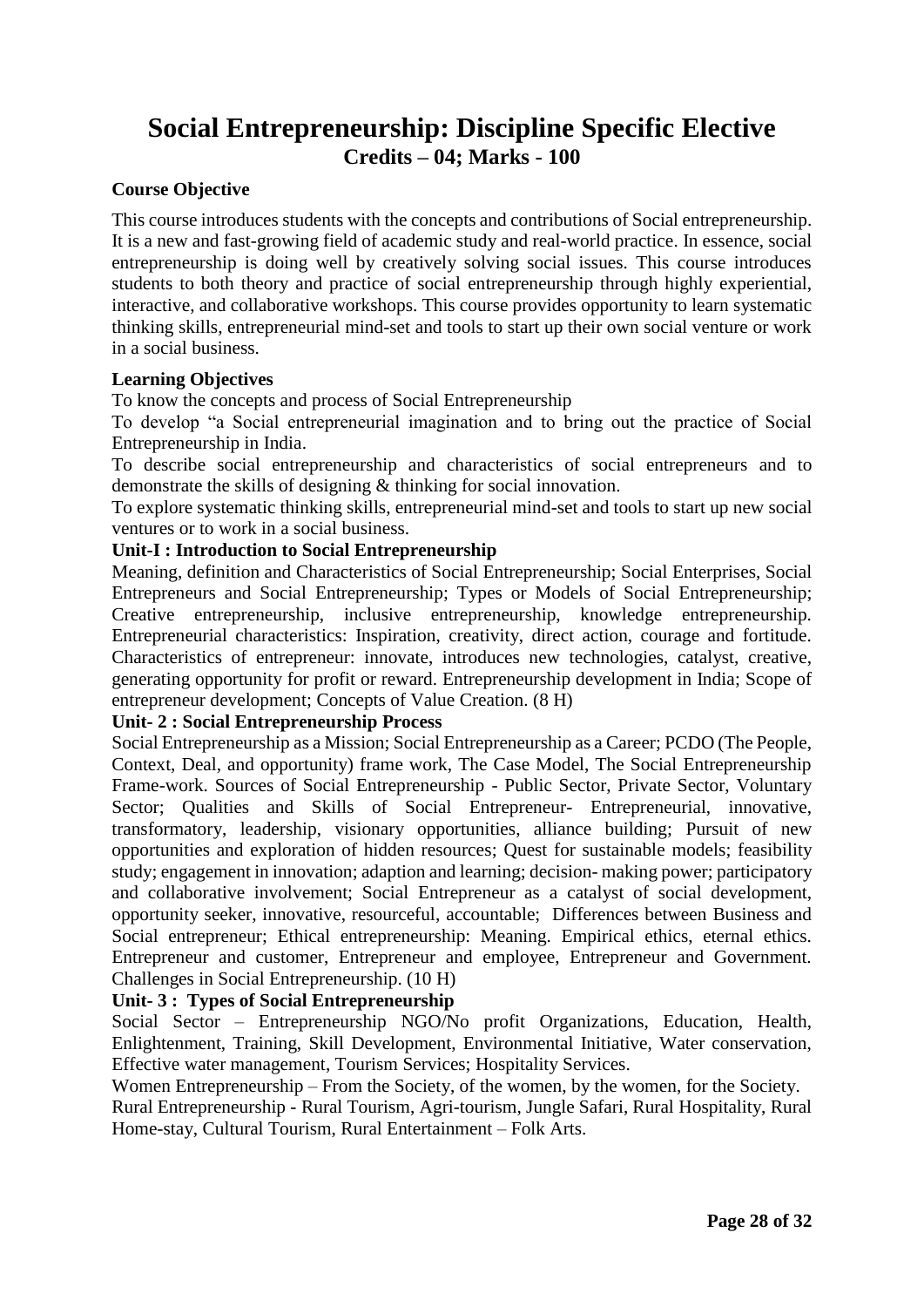### **Social Entrepreneurship: Discipline Specific Elective Credits – 04; Marks - 100**

### **Course Objective**

This course introduces students with the concepts and contributions of Social entrepreneurship. It is a new and fast-growing field of academic study and real-world practice. In essence, social entrepreneurship is doing well by creatively solving social issues. This course introduces students to both theory and practice of social entrepreneurship through highly experiential, interactive, and collaborative workshops. This course provides opportunity to learn systematic thinking skills, entrepreneurial mind-set and tools to start up their own social venture or work in a social business.

### **Learning Objectives**

To know the concepts and process of Social Entrepreneurship

To develop "a Social entrepreneurial imagination and to bring out the practice of Social Entrepreneurship in India.

To describe social entrepreneurship and characteristics of social entrepreneurs and to demonstrate the skills of designing & thinking for social innovation.

To explore systematic thinking skills, entrepreneurial mind-set and tools to start up new social ventures or to work in a social business.

#### **Unit-I : Introduction to Social Entrepreneurship**

Meaning, definition and Characteristics of Social Entrepreneurship; Social Enterprises, Social Entrepreneurs and Social Entrepreneurship; Types or Models of Social Entrepreneurship; Creative entrepreneurship, inclusive entrepreneurship, knowledge entrepreneurship. Entrepreneurial characteristics: Inspiration, creativity, direct action, courage and fortitude. Characteristics of entrepreneur: innovate, introduces new technologies, catalyst, creative, generating opportunity for profit or reward. Entrepreneurship development in India; Scope of entrepreneur development; Concepts of Value Creation. (8 H)

### **Unit- 2 : Social Entrepreneurship Process**

Social Entrepreneurship as a Mission; Social Entrepreneurship as a Career; PCDO (The People, Context, Deal, and opportunity) frame work, The Case Model, The Social Entrepreneurship Frame-work. Sources of Social Entrepreneurship - Public Sector, Private Sector, Voluntary Sector; Qualities and Skills of Social Entrepreneur- Entrepreneurial, innovative, transformatory, leadership, visionary opportunities, alliance building; Pursuit of new opportunities and exploration of hidden resources; Quest for sustainable models; feasibility study; engagement in innovation; adaption and learning; decision- making power; participatory and collaborative involvement; Social Entrepreneur as a catalyst of social development, opportunity seeker, innovative, resourceful, accountable; Differences between Business and Social entrepreneur; Ethical entrepreneurship: Meaning. Empirical ethics, eternal ethics. Entrepreneur and customer, Entrepreneur and employee, Entrepreneur and Government. Challenges in Social Entrepreneurship. (10 H)

### **Unit- 3 : Types of Social Entrepreneurship**

Social Sector – Entrepreneurship NGO/No profit Organizations, Education, Health, Enlightenment, Training, Skill Development, Environmental Initiative, Water conservation, Effective water management, Tourism Services; Hospitality Services.

Women Entrepreneurship – From the Society, of the women, by the women, for the Society. Rural Entrepreneurship - Rural Tourism, Agri-tourism, Jungle Safari, Rural Hospitality, Rural Home-stay, Cultural Tourism, Rural Entertainment – Folk Arts.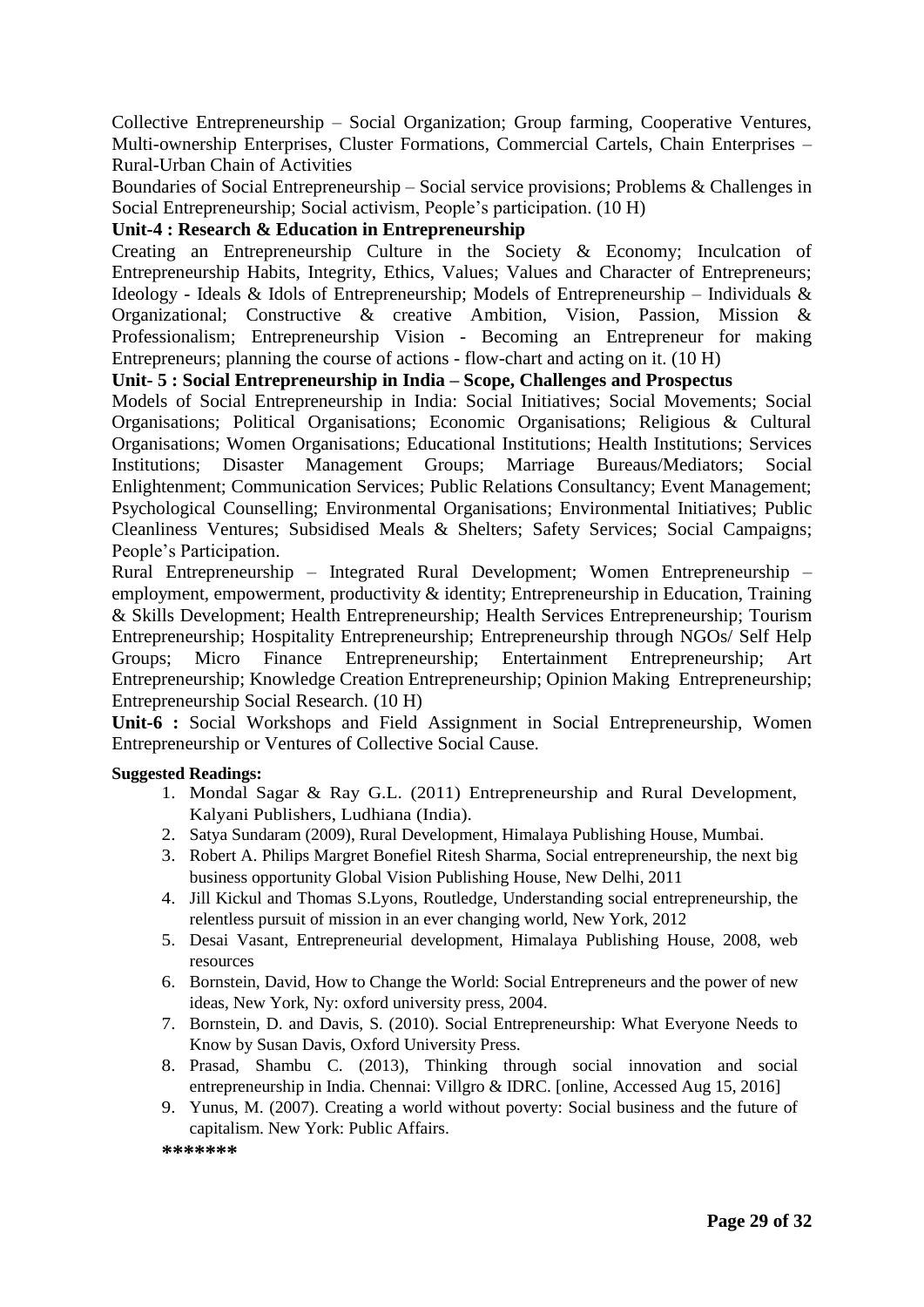Collective Entrepreneurship – Social Organization; Group farming, Cooperative Ventures, Multi-ownership Enterprises, Cluster Formations, Commercial Cartels, Chain Enterprises – Rural-Urban Chain of Activities

Boundaries of Social Entrepreneurship – Social service provisions; Problems & Challenges in Social Entrepreneurship; Social activism, People's participation. (10 H)

### **Unit-4 : Research & Education in Entrepreneurship**

Creating an Entrepreneurship Culture in the Society & Economy; Inculcation of Entrepreneurship Habits, Integrity, Ethics, Values; Values and Character of Entrepreneurs; Ideology - Ideals & Idols of Entrepreneurship; Models of Entrepreneurship – Individuals  $\&$ Organizational; Constructive & creative Ambition, Vision, Passion, Mission & Professionalism; Entrepreneurship Vision - Becoming an Entrepreneur for making Entrepreneurs; planning the course of actions - flow-chart and acting on it. (10 H)

### **Unit- 5 : Social Entrepreneurship in India – Scope, Challenges and Prospectus**

Models of Social Entrepreneurship in India: Social Initiatives; Social Movements; Social Organisations; Political Organisations; Economic Organisations; Religious & Cultural Organisations; Women Organisations; Educational Institutions; Health Institutions; Services Institutions; Disaster Management Groups; Marriage Bureaus/Mediators; Social Enlightenment; Communication Services; Public Relations Consultancy; Event Management; Psychological Counselling; Environmental Organisations; Environmental Initiatives; Public Cleanliness Ventures; Subsidised Meals & Shelters; Safety Services; Social Campaigns; People's Participation.

Rural Entrepreneurship – Integrated Rural Development; Women Entrepreneurship – employment, empowerment, productivity & identity; Entrepreneurship in Education, Training & Skills Development; Health Entrepreneurship; Health Services Entrepreneurship; Tourism Entrepreneurship; Hospitality Entrepreneurship; Entrepreneurship through NGOs/ Self Help Groups; Micro Finance Entrepreneurship; Entertainment Entrepreneurship; Art Entrepreneurship; Knowledge Creation Entrepreneurship; Opinion Making Entrepreneurship; Entrepreneurship Social Research. (10 H)

**Unit-6 :** Social Workshops and Field Assignment in Social Entrepreneurship, Women Entrepreneurship or Ventures of Collective Social Cause.

### **Suggested Readings:**

- 1. Mondal Sagar & Ray G.L. (2011) Entrepreneurship and Rural Development, Kalyani Publishers, Ludhiana (India).
- 2. Satya Sundaram (2009), Rural Development, Himalaya Publishing House, Mumbai.
- 3. Robert A. Philips Margret Bonefiel Ritesh Sharma, Social entrepreneurship, the next big business opportunity Global Vision Publishing House, New Delhi, 2011
- 4. Jill Kickul and Thomas S.Lyons, Routledge, Understanding social entrepreneurship, the relentless pursuit of mission in an ever changing world, New York, 2012
- 5. Desai Vasant, Entrepreneurial development, Himalaya Publishing House, 2008, web resources
- 6. Bornstein, David, How to Change the World: Social Entrepreneurs and the power of new ideas, New York, Ny: oxford university press, 2004.
- 7. Bornstein, D. and Davis, S. (2010). Social Entrepreneurship: What Everyone Needs to Know by Susan Davis, Oxford University Press.
- 8. Prasad, Shambu C. (2013), Thinking through social innovation and social entrepreneurship in India. Chennai: Villgro & IDRC. [online, Accessed Aug 15, 2016]
- 9. Yunus, M. (2007). Creating a world without poverty: Social business and the future of capitalism. New York: Public Affairs.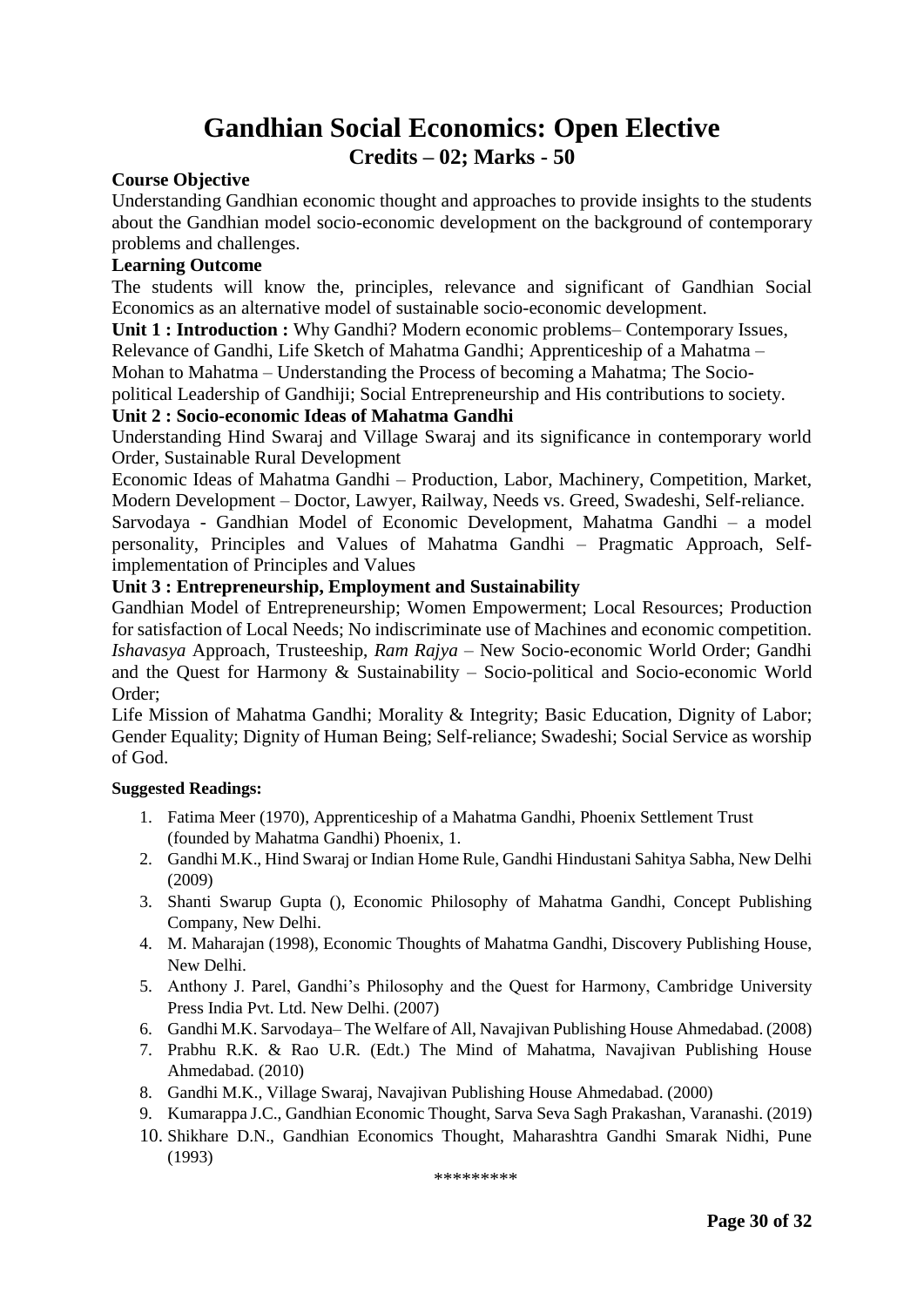### **Gandhian Social Economics: Open Elective Credits – 02; Marks - 50**

#### **Course Objective**

Understanding Gandhian economic thought and approaches to provide insights to the students about the Gandhian model socio-economic development on the background of contemporary problems and challenges.

#### **Learning Outcome**

The students will know the, principles, relevance and significant of Gandhian Social Economics as an alternative model of sustainable socio-economic development.

**Unit 1 : Introduction :** Why Gandhi? Modern economic problems– Contemporary Issues,

Relevance of Gandhi, Life Sketch of Mahatma Gandhi; Apprenticeship of a Mahatma –

Mohan to Mahatma – Understanding the Process of becoming a Mahatma; The Socio-

political Leadership of Gandhiji; Social Entrepreneurship and His contributions to society.

#### **Unit 2 : Socio-economic Ideas of Mahatma Gandhi**

Understanding Hind Swaraj and Village Swaraj and its significance in contemporary world Order, Sustainable Rural Development

Economic Ideas of Mahatma Gandhi – Production, Labor, Machinery, Competition, Market, Modern Development – Doctor, Lawyer, Railway, Needs vs. Greed, Swadeshi, Self-reliance.

Sarvodaya - Gandhian Model of Economic Development, Mahatma Gandhi – a model personality, Principles and Values of Mahatma Gandhi – Pragmatic Approach, Selfimplementation of Principles and Values

#### **Unit 3 : Entrepreneurship, Employment and Sustainability**

Gandhian Model of Entrepreneurship; Women Empowerment; Local Resources; Production for satisfaction of Local Needs; No indiscriminate use of Machines and economic competition. *Ishavasya* Approach, Trusteeship, *Ram Rajya* – New Socio-economic World Order; Gandhi and the Quest for Harmony & Sustainability – Socio-political and Socio-economic World Order;

Life Mission of Mahatma Gandhi; Morality & Integrity; Basic Education, Dignity of Labor; Gender Equality; Dignity of Human Being; Self-reliance; Swadeshi; Social Service as worship of God.

#### **Suggested Readings:**

- 1. Fatima Meer (1970), Apprenticeship of a Mahatma Gandhi, Phoenix Settlement Trust (founded by Mahatma Gandhi) Phoenix, 1.
- 2. Gandhi M.K., Hind Swaraj or Indian Home Rule, Gandhi Hindustani Sahitya Sabha, New Delhi (2009)
- 3. Shanti Swarup Gupta (), Economic Philosophy of Mahatma Gandhi, Concept Publishing Company, New Delhi.
- 4. M. Maharajan (1998), Economic Thoughts of Mahatma Gandhi, Discovery Publishing House, New Delhi.
- 5. Anthony J. Parel, Gandhi's Philosophy and the Quest for Harmony, Cambridge University Press India Pvt. Ltd. New Delhi. (2007)
- 6. Gandhi M.K. Sarvodaya– The Welfare of All, Navajivan Publishing House Ahmedabad. (2008)
- 7. Prabhu R.K. & Rao U.R. (Edt.) The Mind of Mahatma, Navajivan Publishing House Ahmedabad. (2010)
- 8. Gandhi M.K., Village Swaraj, Navajivan Publishing House Ahmedabad. (2000)
- 9. Kumarappa J.C., Gandhian Economic Thought, Sarva Seva Sagh Prakashan, Varanashi. (2019)
- 10. Shikhare D.N., Gandhian Economics Thought, Maharashtra Gandhi Smarak Nidhi, Pune (1993)

\*\*\*\*\*\*\*\*\*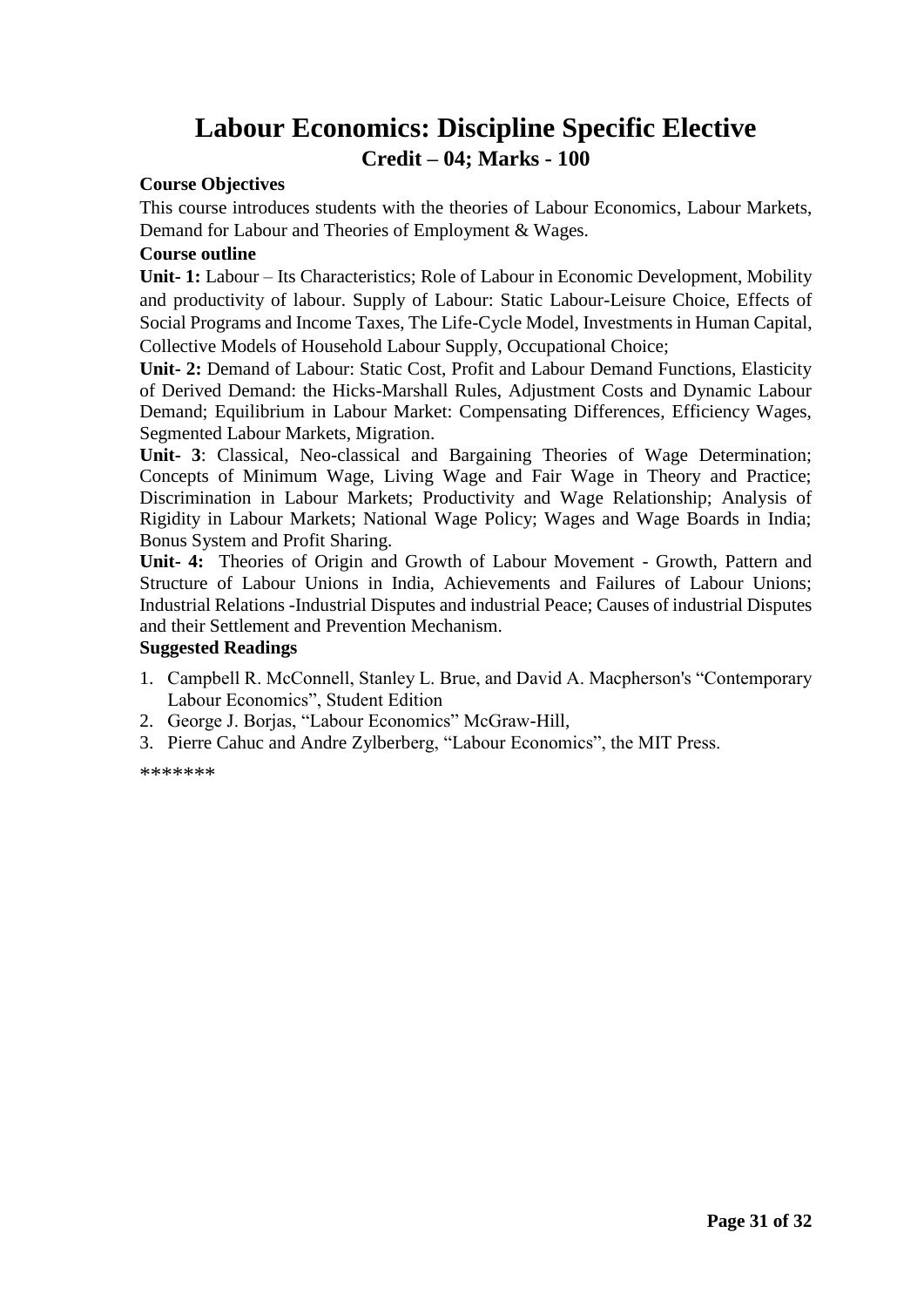### **Labour Economics: Discipline Specific Elective Credit – 04; Marks - 100**

### **Course Objectives**

This course introduces students with the theories of Labour Economics, Labour Markets, Demand for Labour and Theories of Employment & Wages.

### **Course outline**

**Unit- 1:** Labour – Its Characteristics; Role of Labour in Economic Development, Mobility and productivity of labour. Supply of Labour: Static Labour-Leisure Choice, Effects of Social Programs and Income Taxes, The Life-Cycle Model, Investments in Human Capital, Collective Models of Household Labour Supply, Occupational Choice;

**Unit- 2:** Demand of Labour: Static Cost, Profit and Labour Demand Functions, Elasticity of Derived Demand: the Hicks-Marshall Rules, Adjustment Costs and Dynamic Labour Demand; Equilibrium in Labour Market: Compensating Differences, Efficiency Wages, Segmented Labour Markets, Migration.

**Unit- 3**: Classical, Neo-classical and Bargaining Theories of Wage Determination; Concepts of Minimum Wage, Living Wage and Fair Wage in Theory and Practice; Discrimination in Labour Markets; Productivity and Wage Relationship; Analysis of Rigidity in Labour Markets; National Wage Policy; Wages and Wage Boards in India; Bonus System and Profit Sharing.

**Unit- 4:** Theories of Origin and Growth of Labour Movement - Growth, Pattern and Structure of Labour Unions in India, Achievements and Failures of Labour Unions; Industrial Relations -Industrial Disputes and industrial Peace; Causes of industrial Disputes and their Settlement and Prevention Mechanism.

#### **Suggested Readings**

- 1. Campbell R. McConnell, Stanley L. Brue, and David A. Macpherson's "Contemporary Labour Economics", Student Edition
- 2. George J. Borjas, "Labour Economics" McGraw-Hill,
- 3. Pierre Cahuc and Andre Zylberberg, "Labour Economics", the MIT Press.